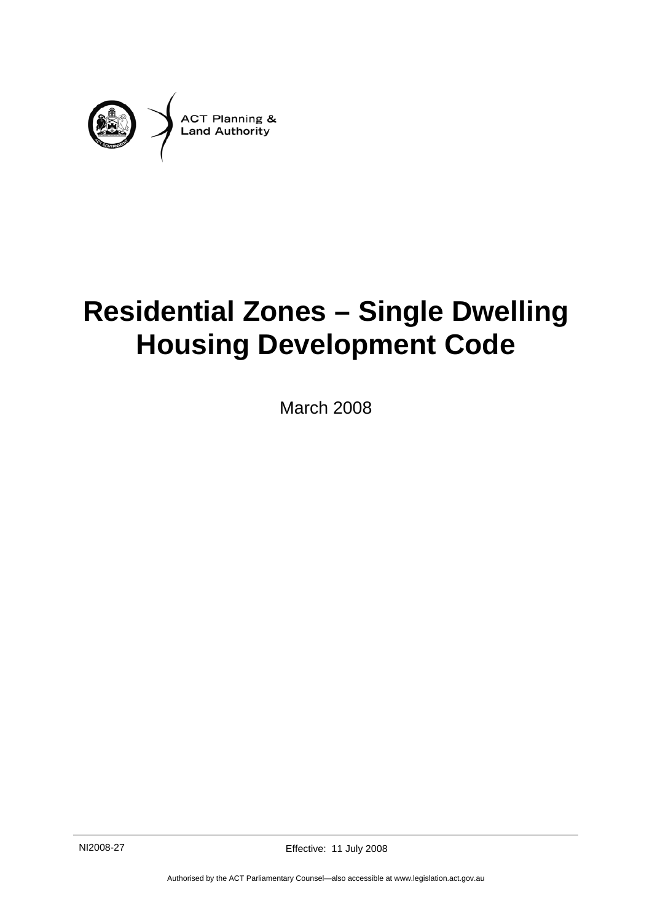

# **Residential Zones – Single Dwelling Housing Development Code**

March 2008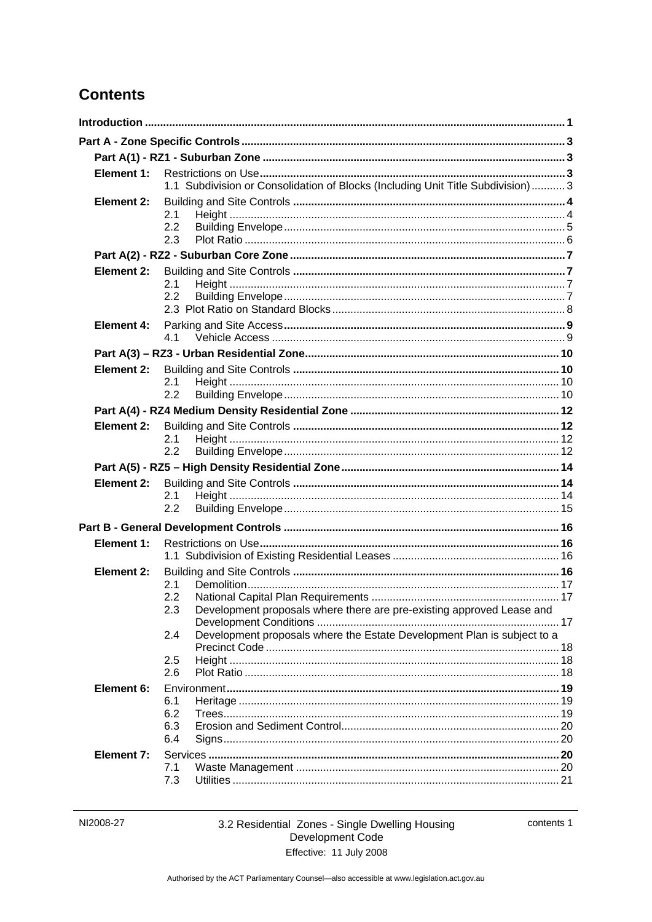# **Contents**

| Element 1:        | 1.1 Subdivision or Consolidation of Blocks (Including Unit Title Subdivision) 3            |  |
|-------------------|--------------------------------------------------------------------------------------------|--|
| <b>Element 2:</b> | 2.1<br>2.2<br>2.3                                                                          |  |
|                   |                                                                                            |  |
| Element 2:        | 2.1<br>2.2                                                                                 |  |
| <b>Element 4:</b> | 4.1                                                                                        |  |
|                   |                                                                                            |  |
| Element 2:        | 2.1<br>2.2                                                                                 |  |
|                   |                                                                                            |  |
| Element 2:        | 2.1<br>2.2                                                                                 |  |
|                   |                                                                                            |  |
| Element 2:        | 2.1<br>2.2                                                                                 |  |
|                   |                                                                                            |  |
| Element 1:        |                                                                                            |  |
| Element 2:        | 2.1<br>2.2<br>Development proposals where there are pre-existing approved Lease and<br>2.3 |  |
|                   | Development proposals where the Estate Development Plan is subject to a<br>2.4             |  |
|                   | 2.5<br>2.6                                                                                 |  |
| Element 6:        | 6.1<br>6.2<br>6.3<br>6.4                                                                   |  |
| <b>Element 7:</b> | 7.1<br>7.3                                                                                 |  |

contents 1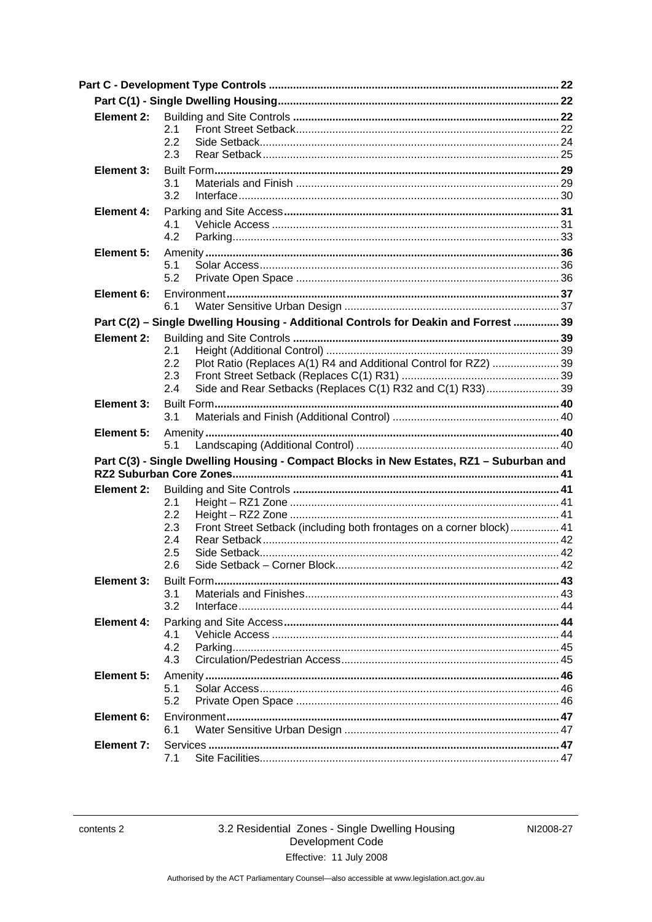| Element 2: | 2.1<br>2.2<br>2.3                                                                                                                                         |  |
|------------|-----------------------------------------------------------------------------------------------------------------------------------------------------------|--|
| Element 3: | 3.1<br>3.2                                                                                                                                                |  |
| Element 4: | 4.1<br>4.2                                                                                                                                                |  |
| Element 5: | 5.1<br>5.2                                                                                                                                                |  |
| Element 6: | 6.1                                                                                                                                                       |  |
|            | Part C(2) - Single Dwelling Housing - Additional Controls for Deakin and Forrest  39                                                                      |  |
| Element 2: | 2.1<br>Plot Ratio (Replaces A(1) R4 and Additional Control for RZ2)  39<br>2.2<br>2.3<br>Side and Rear Setbacks (Replaces C(1) R32 and C(1) R33)39<br>2.4 |  |
| Element 3: | 3.1                                                                                                                                                       |  |
| Element 5: | 5.1                                                                                                                                                       |  |
|            | Part C(3) - Single Dwelling Housing - Compact Blocks in New Estates, RZ1 - Suburban and                                                                   |  |
| Element 2: | 2.1<br>2.2<br>Front Street Setback (including both frontages on a corner block)  41<br>2.3<br>2.4<br>2.5<br>2.6                                           |  |
| Element 3: | 3.1<br>3.2                                                                                                                                                |  |
| Element 4: | 4.1<br>4.2<br>4.3                                                                                                                                         |  |
| Element 5: | 5.1<br>5.2                                                                                                                                                |  |
| Element 6: | 6.1                                                                                                                                                       |  |
| Element 7: |                                                                                                                                                           |  |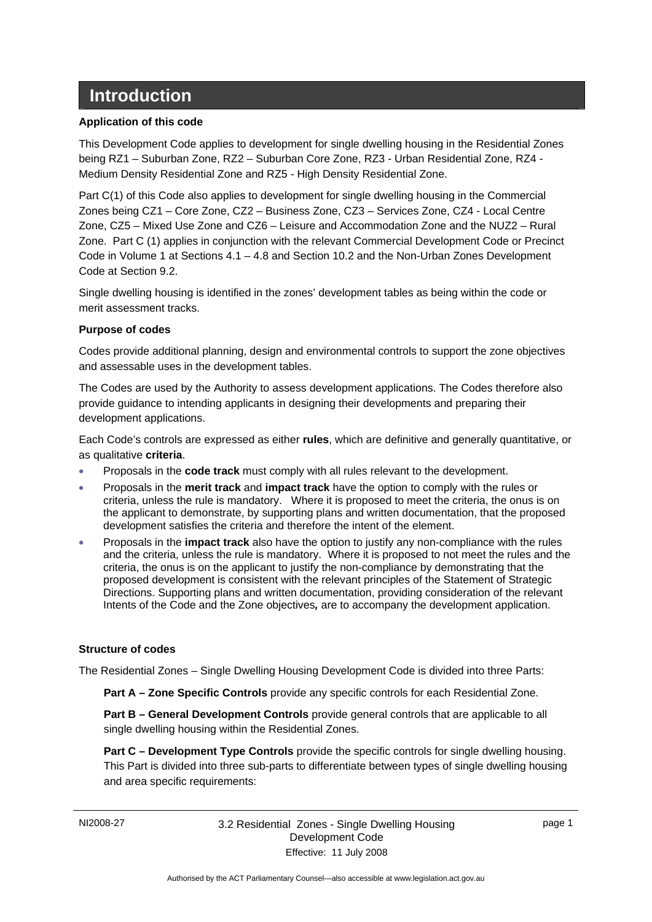# <span id="page-4-0"></span> **Introduction**

### **Application of this code**

This Development Code applies to development for single dwelling housing in the Residential Zones being RZ1 – Suburban Zone, RZ2 – Suburban Core Zone, RZ3 - Urban Residential Zone, RZ4 - Medium Density Residential Zone and RZ5 - High Density Residential Zone.

Part C(1) of this Code also applies to development for single dwelling housing in the Commercial Zones being CZ1 – Core Zone, CZ2 – Business Zone, CZ3 – Services Zone, CZ4 - Local Centre Zone, CZ5 – Mixed Use Zone and CZ6 – Leisure and Accommodation Zone and the NUZ2 – Rural Zone. Part C (1) applies in conjunction with the relevant Commercial Development Code or Precinct Code in Volume 1 at Sections 4.1 – 4.8 and Section 10.2 and the Non-Urban Zones Development Code at Section 9.2.

Single dwelling housing is identified in the zones' development tables as being within the code or merit assessment tracks.

### **Purpose of codes**

Codes provide additional planning, design and environmental controls to support the zone objectives and assessable uses in the development tables.

The Codes are used by the Authority to assess development applications. The Codes therefore also provide guidance to intending applicants in designing their developments and preparing their development applications.

Each Code's controls are expressed as either **rules**, which are definitive and generally quantitative, or as qualitative **criteria**.

- Proposals in the **code track** must comply with all rules relevant to the development.
- Proposals in the **merit track** and **impact track** have the option to comply with the rules or criteria, unless the rule is mandatory. Where it is proposed to meet the criteria, the onus is on the applicant to demonstrate, by supporting plans and written documentation, that the proposed development satisfies the criteria and therefore the intent of the element.
- Proposals in the **impact track** also have the option to justify any non-compliance with the rules and the criteria, unless the rule is mandatory. Where it is proposed to not meet the rules and the criteria, the onus is on the applicant to justify the non-compliance by demonstrating that the proposed development is consistent with the relevant principles of the Statement of Strategic Directions. Supporting plans and written documentation, providing consideration of the relevant Intents of the Code and the Zone objectives*,* are to accompany the development application.

#### **Structure of codes**

The Residential Zones – Single Dwelling Housing Development Code is divided into three Parts:

**Part A – Zone Specific Controls** provide any specific controls for each Residential Zone.

**Part B – General Development Controls** provide general controls that are applicable to all single dwelling housing within the Residential Zones.

**Part C – Development Type Controls** provide the specific controls for single dwelling housing. This Part is divided into three sub-parts to differentiate between types of single dwelling housing and area specific requirements: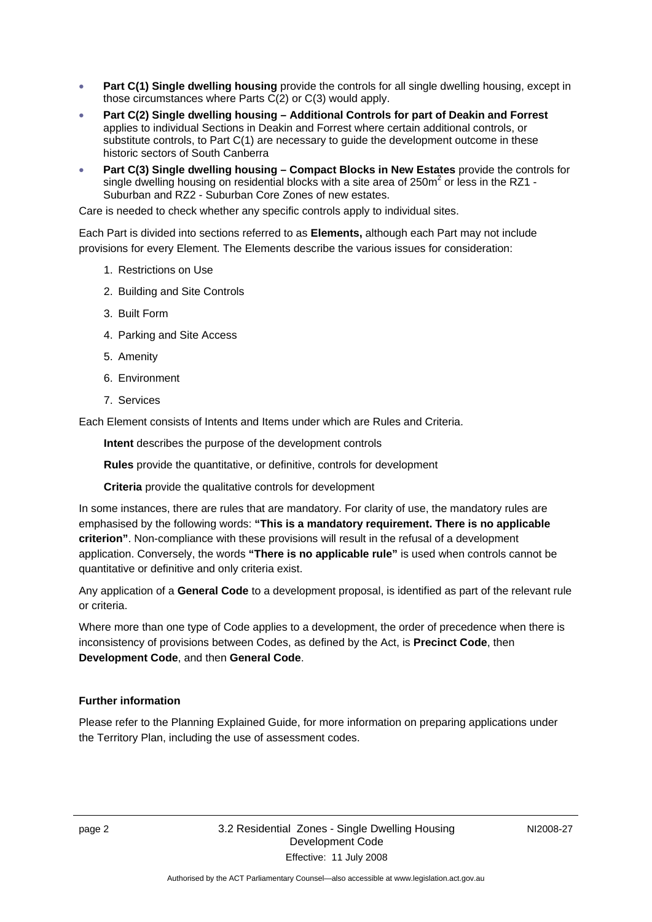- **Part C(1) Single dwelling housing** provide the controls for all single dwelling housing, except in those circumstances where Parts C(2) or C(3) would apply.
- **Part C(2) Single dwelling housing Additional Controls for part of Deakin and Forrest** applies to individual Sections in Deakin and Forrest where certain additional controls, or substitute controls, to Part C(1) are necessary to guide the development outcome in these historic sectors of South Canberra
- **Part C(3) Single dwelling housing Compact Blocks in New Estates** provide the controls for single dwelling housing on residential blocks with a site area of 250 $m^2$  or less in the RZ1 -Suburban and RZ2 - Suburban Core Zones of new estates.

Care is needed to check whether any specific controls apply to individual sites.

Each Part is divided into sections referred to as **Elements,** although each Part may not include provisions for every Element. The Elements describe the various issues for consideration:

- 1. Restrictions on Use
- 2. Building and Site Controls
- 3. Built Form
- 4. Parking and Site Access
- 5. Amenity
- 6. Environment
- 7. Services

Each Element consists of Intents and Items under which are Rules and Criteria.

**Intent** describes the purpose of the development controls

**Rules** provide the quantitative, or definitive, controls for development

**Criteria** provide the qualitative controls for development

In some instances, there are rules that are mandatory. For clarity of use, the mandatory rules are emphasised by the following words: **"This is a mandatory requirement. There is no applicable criterion"**. Non-compliance with these provisions will result in the refusal of a development application. Conversely, the words **"There is no applicable rule"** is used when controls cannot be quantitative or definitive and only criteria exist.

Any application of a **General Code** to a development proposal, is identified as part of the relevant rule or criteria.

Where more than one type of Code applies to a development, the order of precedence when there is inconsistency of provisions between Codes, as defined by the Act, is **Precinct Code**, then **Development Code**, and then **General Code**.

#### **Further information**

Please refer to the Planning Explained Guide, for more information on preparing applications under the Territory Plan, including the use of assessment codes.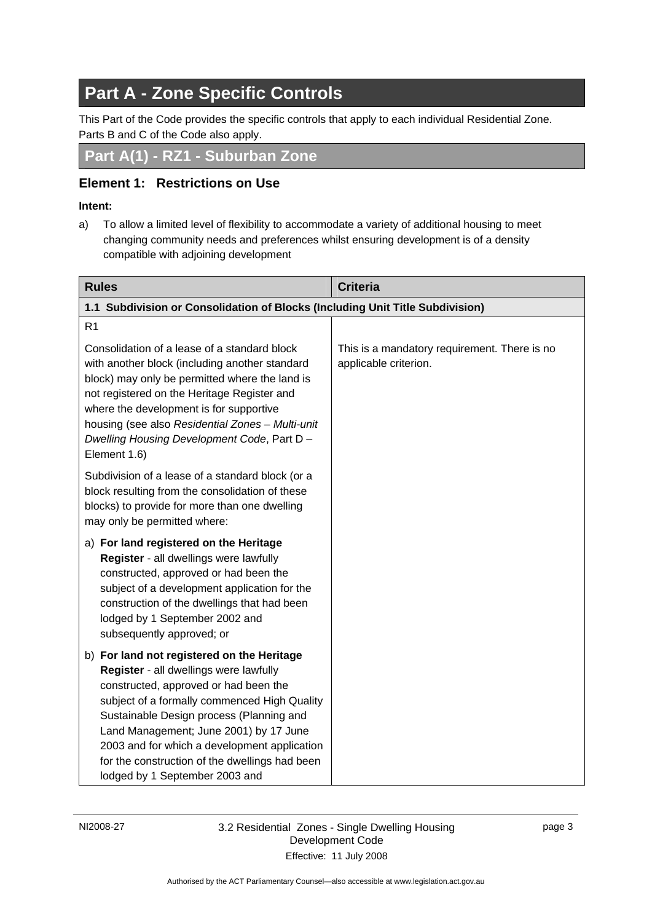# <span id="page-6-0"></span>**Part A - Zone Specific Controls**

This Part of the Code provides the specific controls that apply to each individual Residential Zone. Parts B and C of the Code also apply.

**Part A(1) - RZ1 - Suburban Zone** 

# **Element 1: Restrictions on Use**

### **Intent:**

a) To allow a limited level of flexibility to accommodate a variety of additional housing to meet changing community needs and preferences whilst ensuring development is of a density compatible with adjoining development

| <b>Rules</b>                                                                                                                                                                                                                                                                                                                                                                                            | <b>Criteria</b>                                                       |
|---------------------------------------------------------------------------------------------------------------------------------------------------------------------------------------------------------------------------------------------------------------------------------------------------------------------------------------------------------------------------------------------------------|-----------------------------------------------------------------------|
| 1.1 Subdivision or Consolidation of Blocks (Including Unit Title Subdivision)                                                                                                                                                                                                                                                                                                                           |                                                                       |
| R <sub>1</sub><br>Consolidation of a lease of a standard block<br>with another block (including another standard                                                                                                                                                                                                                                                                                        | This is a mandatory requirement. There is no<br>applicable criterion. |
| block) may only be permitted where the land is<br>not registered on the Heritage Register and<br>where the development is for supportive<br>housing (see also Residential Zones - Multi-unit<br>Dwelling Housing Development Code, Part D -<br>Element 1.6)                                                                                                                                             |                                                                       |
| Subdivision of a lease of a standard block (or a<br>block resulting from the consolidation of these<br>blocks) to provide for more than one dwelling<br>may only be permitted where:                                                                                                                                                                                                                    |                                                                       |
| a) For land registered on the Heritage<br>Register - all dwellings were lawfully<br>constructed, approved or had been the<br>subject of a development application for the<br>construction of the dwellings that had been<br>lodged by 1 September 2002 and<br>subsequently approved; or                                                                                                                 |                                                                       |
| b) For land not registered on the Heritage<br>Register - all dwellings were lawfully<br>constructed, approved or had been the<br>subject of a formally commenced High Quality<br>Sustainable Design process (Planning and<br>Land Management; June 2001) by 17 June<br>2003 and for which a development application<br>for the construction of the dwellings had been<br>lodged by 1 September 2003 and |                                                                       |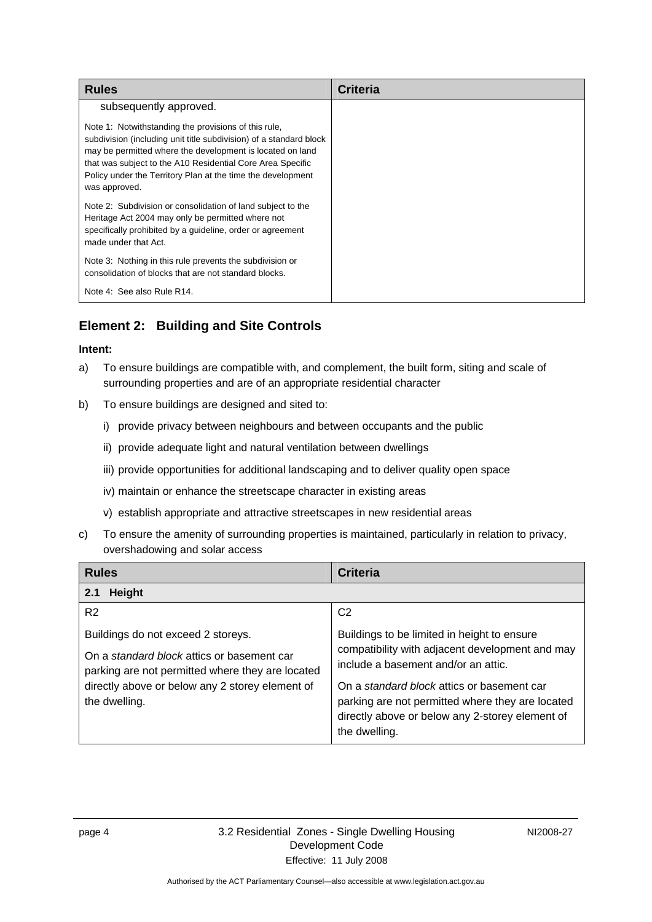<span id="page-7-0"></span>

| <b>Rules</b>                                                                                                                                                                                                                                                                                                                          | <b>Criteria</b> |
|---------------------------------------------------------------------------------------------------------------------------------------------------------------------------------------------------------------------------------------------------------------------------------------------------------------------------------------|-----------------|
| subsequently approved.                                                                                                                                                                                                                                                                                                                |                 |
| Note 1: Notwithstanding the provisions of this rule,<br>subdivision (including unit title subdivision) of a standard block<br>may be permitted where the development is located on land<br>that was subject to the A10 Residential Core Area Specific<br>Policy under the Territory Plan at the time the development<br>was approved. |                 |
| Note 2: Subdivision or consolidation of land subject to the<br>Heritage Act 2004 may only be permitted where not<br>specifically prohibited by a guideline, order or agreement<br>made under that Act.                                                                                                                                |                 |
| Note 3: Nothing in this rule prevents the subdivision or<br>consolidation of blocks that are not standard blocks.                                                                                                                                                                                                                     |                 |
| Note 4: See also Rule R14.                                                                                                                                                                                                                                                                                                            |                 |

# **Element 2: Building and Site Controls**

- a) To ensure buildings are compatible with, and complement, the built form, siting and scale of surrounding properties and are of an appropriate residential character
- b) To ensure buildings are designed and sited to:
	- i) provide privacy between neighbours and between occupants and the public
	- ii) provide adequate light and natural ventilation between dwellings
	- iii) provide opportunities for additional landscaping and to deliver quality open space
	- iv) maintain or enhance the streetscape character in existing areas
	- v) establish appropriate and attractive streetscapes in new residential areas
- c) To ensure the amenity of surrounding properties is maintained, particularly in relation to privacy, overshadowing and solar access

| <b>Rules</b>                                                                                                                                                                                             | Criteria                                                                                                                                                                                                                                                                                                    |  |
|----------------------------------------------------------------------------------------------------------------------------------------------------------------------------------------------------------|-------------------------------------------------------------------------------------------------------------------------------------------------------------------------------------------------------------------------------------------------------------------------------------------------------------|--|
| <b>Height</b><br>2.1                                                                                                                                                                                     |                                                                                                                                                                                                                                                                                                             |  |
| R <sub>2</sub>                                                                                                                                                                                           | C <sub>2</sub>                                                                                                                                                                                                                                                                                              |  |
| Buildings do not exceed 2 storeys.<br>On a standard block attics or basement car<br>parking are not permitted where they are located<br>directly above or below any 2 storey element of<br>the dwelling. | Buildings to be limited in height to ensure<br>compatibility with adjacent development and may<br>include a basement and/or an attic.<br>On a standard block attics or basement car<br>parking are not permitted where they are located<br>directly above or below any 2-storey element of<br>the dwelling. |  |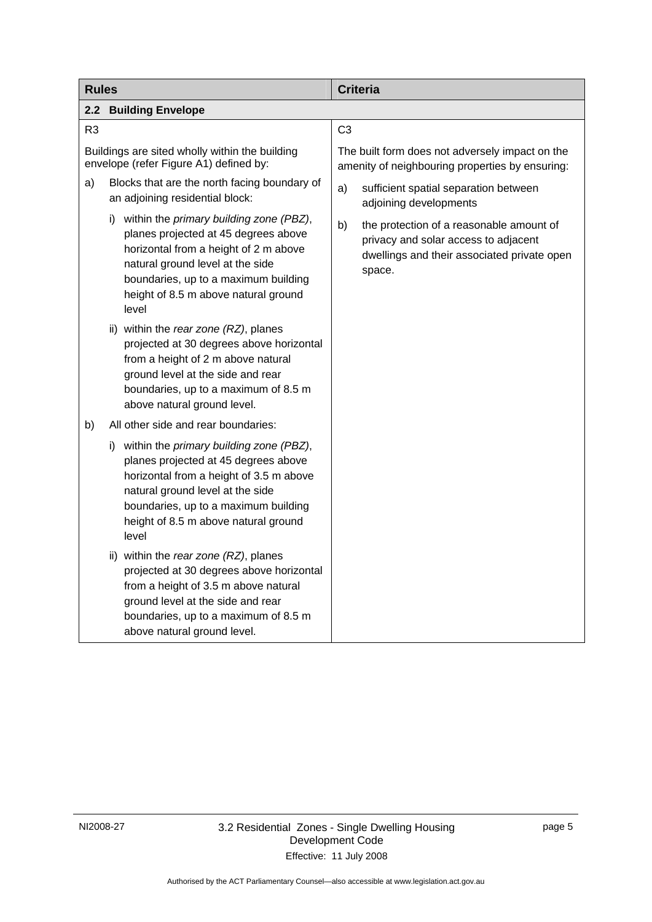<span id="page-8-0"></span>

| <b>Rules</b>                                                                             |                                                                                                                                                                                                                                                               | <b>Criteria</b>                                                                                                                                 |
|------------------------------------------------------------------------------------------|---------------------------------------------------------------------------------------------------------------------------------------------------------------------------------------------------------------------------------------------------------------|-------------------------------------------------------------------------------------------------------------------------------------------------|
| 2.2<br><b>Building Envelope</b>                                                          |                                                                                                                                                                                                                                                               |                                                                                                                                                 |
| R <sub>3</sub>                                                                           |                                                                                                                                                                                                                                                               | C <sub>3</sub>                                                                                                                                  |
| Buildings are sited wholly within the building<br>envelope (refer Figure A1) defined by: |                                                                                                                                                                                                                                                               | The built form does not adversely impact on the<br>amenity of neighbouring properties by ensuring:                                              |
| a)                                                                                       | Blocks that are the north facing boundary of<br>an adjoining residential block:                                                                                                                                                                               | a)<br>sufficient spatial separation between<br>adjoining developments                                                                           |
|                                                                                          | i) within the primary building zone (PBZ),<br>planes projected at 45 degrees above<br>horizontal from a height of 2 m above<br>natural ground level at the side<br>boundaries, up to a maximum building<br>height of 8.5 m above natural ground<br>level      | b)<br>the protection of a reasonable amount of<br>privacy and solar access to adjacent<br>dwellings and their associated private open<br>space. |
|                                                                                          | ii) within the rear zone (RZ), planes<br>projected at 30 degrees above horizontal<br>from a height of 2 m above natural<br>ground level at the side and rear<br>boundaries, up to a maximum of 8.5 m<br>above natural ground level.                           |                                                                                                                                                 |
| b)                                                                                       | All other side and rear boundaries:                                                                                                                                                                                                                           |                                                                                                                                                 |
|                                                                                          | within the primary building zone (PBZ),<br>i)<br>planes projected at 45 degrees above<br>horizontal from a height of 3.5 m above<br>natural ground level at the side<br>boundaries, up to a maximum building<br>height of 8.5 m above natural ground<br>level |                                                                                                                                                 |
|                                                                                          | ii) within the rear zone (RZ), planes<br>projected at 30 degrees above horizontal<br>from a height of 3.5 m above natural<br>ground level at the side and rear<br>boundaries, up to a maximum of 8.5 m<br>above natural ground level.                         |                                                                                                                                                 |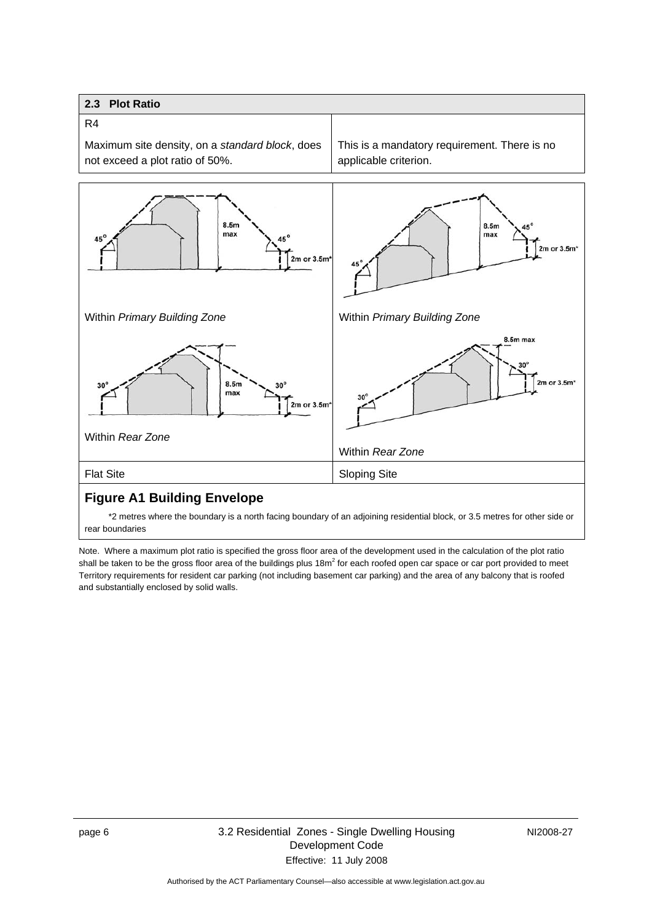### <span id="page-9-0"></span>**2.3 Plot Ratio**  R4 Maximum site density, on a *standard block*, does This is a mandatory requirement. There is no not exceed a plot ratio of 50%. applicable criterion.  $8.5<sub>m</sub>$ 8.5m max max 45 AE<sup>1</sup> 2m or  $3.5m<sup>4</sup>$  $2m$  or  $3.5m$ 45 Within *Primary Building Zone* Within *Primary Building Zone* 8.5m max  $2m$  or  $3.5m$  $8.5<sub>m</sub>$ 30  $30'$ max  $3<sup>1</sup>$ 2m or 3.5m Within *Rear Zone* Within *Rear Zone* Flat Site Sloping Site

### **Figure A1 Building Envelope**

 \*2 metres where the boundary is a north facing boundary of an adjoining residential block, or 3.5 metres for other side or rear boundaries

Note. Where a maximum plot ratio is specified the gross floor area of the development used in the calculation of the plot ratio shall be taken to be the gross floor area of the buildings plus 18m<sup>2</sup> for each roofed open car space or car port provided to meet Territory requirements for resident car parking (not including basement car parking) and the area of any balcony that is roofed and substantially enclosed by solid walls.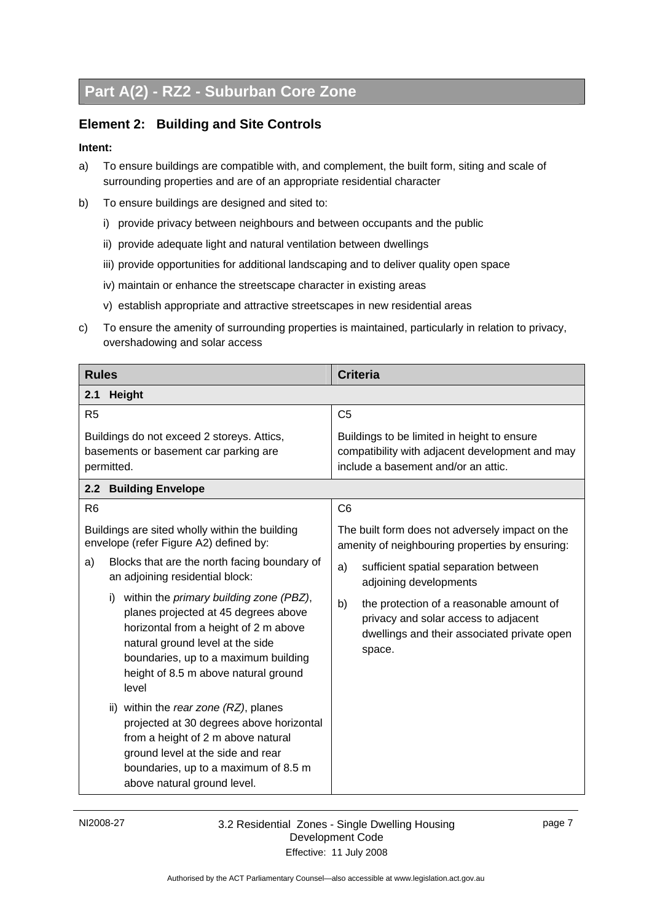# <span id="page-10-0"></span>**Part A(2) - RZ2 - Suburban Core Zone**

# **Element 2: Building and Site Controls**

- a) To ensure buildings are compatible with, and complement, the built form, siting and scale of surrounding properties and are of an appropriate residential character
- b) To ensure buildings are designed and sited to:
	- i) provide privacy between neighbours and between occupants and the public
	- ii) provide adequate light and natural ventilation between dwellings
	- iii) provide opportunities for additional landscaping and to deliver quality open space
	- iv) maintain or enhance the streetscape character in existing areas
	- v) establish appropriate and attractive streetscapes in new residential areas
- c) To ensure the amenity of surrounding properties is maintained, particularly in relation to privacy, overshadowing and solar access

| <b>Rules</b>                                                                                                                                                                                                                                                                                                                                                                                                                                    | <b>Criteria</b>                                                                                                                                                                                                                                                                                                                |
|-------------------------------------------------------------------------------------------------------------------------------------------------------------------------------------------------------------------------------------------------------------------------------------------------------------------------------------------------------------------------------------------------------------------------------------------------|--------------------------------------------------------------------------------------------------------------------------------------------------------------------------------------------------------------------------------------------------------------------------------------------------------------------------------|
| <b>Height</b><br>2.1                                                                                                                                                                                                                                                                                                                                                                                                                            |                                                                                                                                                                                                                                                                                                                                |
| R <sub>5</sub>                                                                                                                                                                                                                                                                                                                                                                                                                                  | C <sub>5</sub>                                                                                                                                                                                                                                                                                                                 |
| Buildings do not exceed 2 storeys. Attics,<br>basements or basement car parking are<br>permitted.                                                                                                                                                                                                                                                                                                                                               | Buildings to be limited in height to ensure<br>compatibility with adjacent development and may<br>include a basement and/or an attic.                                                                                                                                                                                          |
| <b>Building Envelope</b><br>2.2 <sub>2</sub>                                                                                                                                                                                                                                                                                                                                                                                                    |                                                                                                                                                                                                                                                                                                                                |
| R <sub>6</sub>                                                                                                                                                                                                                                                                                                                                                                                                                                  | C <sub>6</sub>                                                                                                                                                                                                                                                                                                                 |
| Buildings are sited wholly within the building<br>envelope (refer Figure A2) defined by:<br>a)<br>Blocks that are the north facing boundary of<br>an adjoining residential block:<br>within the <i>primary building zone (PBZ)</i> ,<br>i)<br>planes projected at 45 degrees above<br>horizontal from a height of 2 m above<br>natural ground level at the side<br>boundaries, up to a maximum building<br>height of 8.5 m above natural ground | The built form does not adversely impact on the<br>amenity of neighbouring properties by ensuring:<br>sufficient spatial separation between<br>a)<br>adjoining developments<br>the protection of a reasonable amount of<br>b)<br>privacy and solar access to adjacent<br>dwellings and their associated private open<br>space. |
| level<br>ii) within the rear zone (RZ), planes<br>projected at 30 degrees above horizontal<br>from a height of 2 m above natural<br>ground level at the side and rear<br>boundaries, up to a maximum of 8.5 m<br>above natural ground level.                                                                                                                                                                                                    |                                                                                                                                                                                                                                                                                                                                |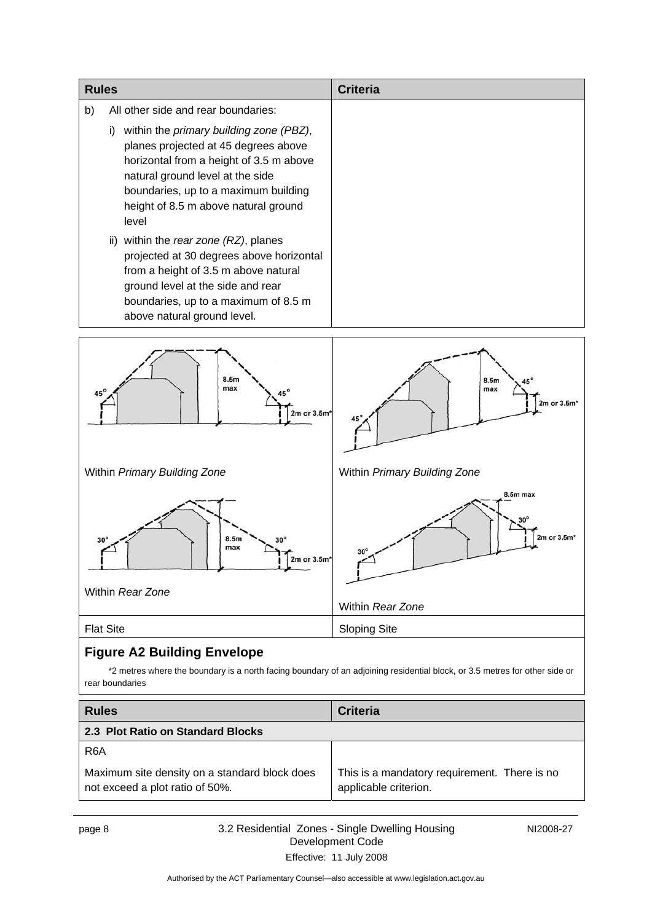<span id="page-11-0"></span>

| <b>Rules</b>                                                                                                                                                                                                                                               | <b>Criteria</b>                                                                                                            |
|------------------------------------------------------------------------------------------------------------------------------------------------------------------------------------------------------------------------------------------------------------|----------------------------------------------------------------------------------------------------------------------------|
| b)<br>All other side and rear boundaries:                                                                                                                                                                                                                  |                                                                                                                            |
| i) within the primary building zone (PBZ),<br>planes projected at 45 degrees above<br>horizontal from a height of 3.5 m above<br>natural ground level at the side<br>boundaries, up to a maximum building<br>height of 8.5 m above natural ground<br>level |                                                                                                                            |
| ii) within the rear zone (RZ), planes<br>projected at 30 degrees above horizontal<br>from a height of 3.5 m above natural<br>ground level at the side and rear<br>boundaries, up to a maximum of 8.5 m<br>above natural ground level.                      |                                                                                                                            |
| 8.5m<br>max<br>$45^\circ$<br>2m or 3.5m*                                                                                                                                                                                                                   | 8.5m<br>max<br>2m or 3.5m*                                                                                                 |
| Within Primary Building Zone                                                                                                                                                                                                                               | Within Primary Building Zone                                                                                               |
| 8.5m<br>30<br>max<br>$2m$ or $3.5m$<br>Within Rear Zone                                                                                                                                                                                                    | 8.5m max<br>2m or 3.5m*                                                                                                    |
|                                                                                                                                                                                                                                                            | Within Rear Zone                                                                                                           |
| <b>Flat Site</b>                                                                                                                                                                                                                                           | <b>Sloping Site</b>                                                                                                        |
| <b>Figure A2 Building Envelope</b>                                                                                                                                                                                                                         |                                                                                                                            |
| rear boundaries                                                                                                                                                                                                                                            | *2 metres where the boundary is a north facing boundary of an adjoining residential block, or 3.5 metres for other side or |

| <b>Rules</b>                                                                     | <b>Criteria</b>                                                       |
|----------------------------------------------------------------------------------|-----------------------------------------------------------------------|
| 2.3 Plot Ratio on Standard Blocks                                                |                                                                       |
| R <sub>6</sub> A                                                                 |                                                                       |
| Maximum site density on a standard block does<br>not exceed a plot ratio of 50%. | This is a mandatory requirement. There is no<br>applicable criterion. |

page 8 3.2 Residential Zones - Single Dwelling Housing Development Code Effective: 11 July 2008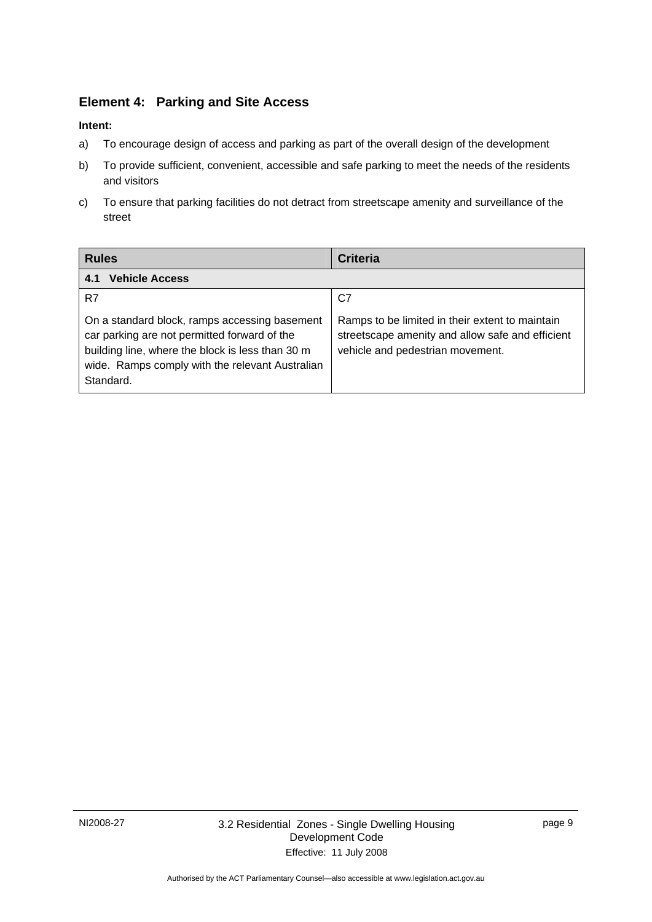# <span id="page-12-0"></span>**Element 4: Parking and Site Access**

- a) To encourage design of access and parking as part of the overall design of the development
- b) To provide sufficient, convenient, accessible and safe parking to meet the needs of the residents and visitors
- c) To ensure that parking facilities do not detract from streetscape amenity and surveillance of the street

| <b>Rules</b>                                                                                                                                                                                                      | <b>Criteria</b>                                                                                                                         |
|-------------------------------------------------------------------------------------------------------------------------------------------------------------------------------------------------------------------|-----------------------------------------------------------------------------------------------------------------------------------------|
| <b>Vehicle Access</b><br>4.1                                                                                                                                                                                      |                                                                                                                                         |
| R7                                                                                                                                                                                                                | C7                                                                                                                                      |
| On a standard block, ramps accessing basement<br>car parking are not permitted forward of the<br>building line, where the block is less than 30 m<br>wide. Ramps comply with the relevant Australian<br>Standard. | Ramps to be limited in their extent to maintain<br>streetscape amenity and allow safe and efficient<br>vehicle and pedestrian movement. |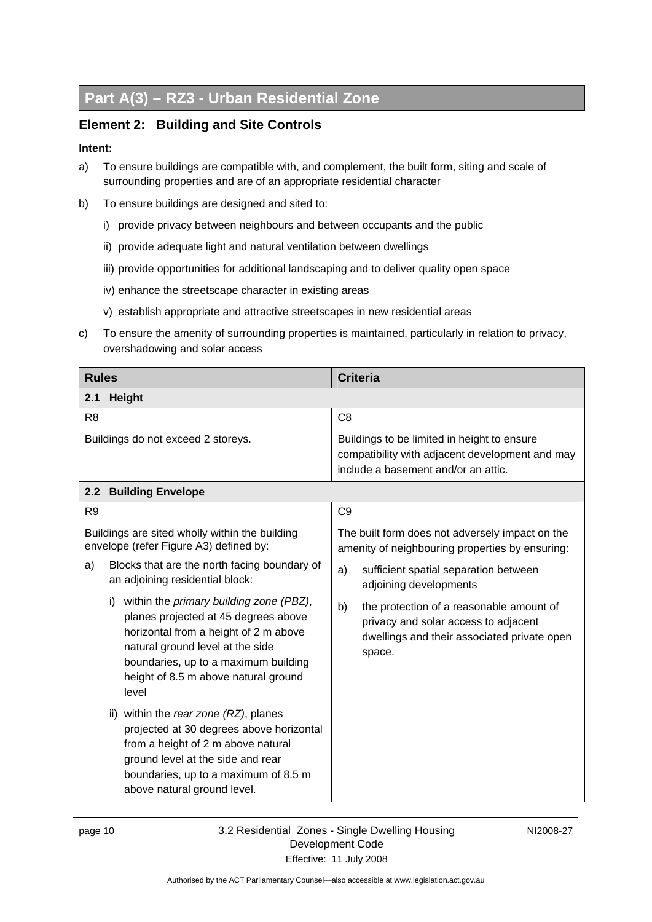# <span id="page-13-0"></span>**Part A(3) – RZ3 - Urban Residential Zone**

### **Element 2: Building and Site Controls**

- a) To ensure buildings are compatible with, and complement, the built form, siting and scale of surrounding properties and are of an appropriate residential character
- b) To ensure buildings are designed and sited to:
	- i) provide privacy between neighbours and between occupants and the public
	- ii) provide adequate light and natural ventilation between dwellings
	- iii) provide opportunities for additional landscaping and to deliver quality open space
	- iv) enhance the streetscape character in existing areas
	- v) establish appropriate and attractive streetscapes in new residential areas
- c) To ensure the amenity of surrounding properties is maintained, particularly in relation to privacy, overshadowing and solar access

| <b>Rules</b>                                                                                                                                                                                                                                                                                                                                                                                                                                                                                                                                                                        | <b>Criteria</b>                                                                                                                                                                                                                                                                                                                |  |  |
|-------------------------------------------------------------------------------------------------------------------------------------------------------------------------------------------------------------------------------------------------------------------------------------------------------------------------------------------------------------------------------------------------------------------------------------------------------------------------------------------------------------------------------------------------------------------------------------|--------------------------------------------------------------------------------------------------------------------------------------------------------------------------------------------------------------------------------------------------------------------------------------------------------------------------------|--|--|
| Height<br>2.1                                                                                                                                                                                                                                                                                                                                                                                                                                                                                                                                                                       |                                                                                                                                                                                                                                                                                                                                |  |  |
| R <sub>8</sub>                                                                                                                                                                                                                                                                                                                                                                                                                                                                                                                                                                      | C <sub>8</sub>                                                                                                                                                                                                                                                                                                                 |  |  |
| Buildings do not exceed 2 storeys.                                                                                                                                                                                                                                                                                                                                                                                                                                                                                                                                                  | Buildings to be limited in height to ensure<br>compatibility with adjacent development and may<br>include a basement and/or an attic.                                                                                                                                                                                          |  |  |
| <b>Building Envelope</b><br>2.2                                                                                                                                                                                                                                                                                                                                                                                                                                                                                                                                                     |                                                                                                                                                                                                                                                                                                                                |  |  |
| R <sub>9</sub>                                                                                                                                                                                                                                                                                                                                                                                                                                                                                                                                                                      | C <sub>9</sub>                                                                                                                                                                                                                                                                                                                 |  |  |
| Buildings are sited wholly within the building<br>envelope (refer Figure A3) defined by:<br>Blocks that are the north facing boundary of<br>a)<br>an adjoining residential block:<br>within the <i>primary building zone (PBZ)</i> ,<br>i)<br>planes projected at 45 degrees above<br>horizontal from a height of 2 m above<br>natural ground level at the side<br>boundaries, up to a maximum building<br>height of 8.5 m above natural ground<br>level<br>ii) within the rear zone (RZ), planes<br>projected at 30 degrees above horizontal<br>from a height of 2 m above natural | The built form does not adversely impact on the<br>amenity of neighbouring properties by ensuring:<br>sufficient spatial separation between<br>a)<br>adjoining developments<br>b)<br>the protection of a reasonable amount of<br>privacy and solar access to adjacent<br>dwellings and their associated private open<br>space. |  |  |
| ground level at the side and rear<br>boundaries, up to a maximum of 8.5 m<br>above natural ground level.                                                                                                                                                                                                                                                                                                                                                                                                                                                                            |                                                                                                                                                                                                                                                                                                                                |  |  |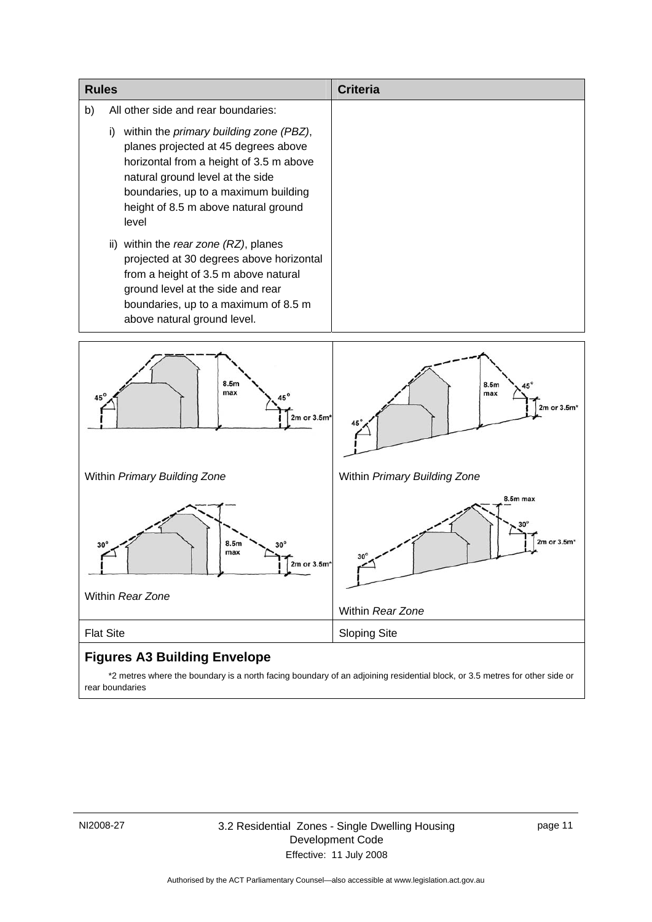| <b>Rules</b> |                                                                                                                                                                                                                                                               | Criteria |
|--------------|---------------------------------------------------------------------------------------------------------------------------------------------------------------------------------------------------------------------------------------------------------------|----------|
| b)           | All other side and rear boundaries:                                                                                                                                                                                                                           |          |
|              | within the primary building zone (PBZ),<br>i)<br>planes projected at 45 degrees above<br>horizontal from a height of 3.5 m above<br>natural ground level at the side<br>boundaries, up to a maximum building<br>height of 8.5 m above natural ground<br>level |          |
|              | ii) within the rear zone (RZ), planes<br>projected at 30 degrees above horizontal<br>from a height of 3.5 m above natural<br>ground level at the side and rear<br>boundaries, up to a maximum of 8.5 m<br>above natural ground level.                         |          |



 \*2 metres where the boundary is a north facing boundary of an adjoining residential block, or 3.5 metres for other side or rear boundaries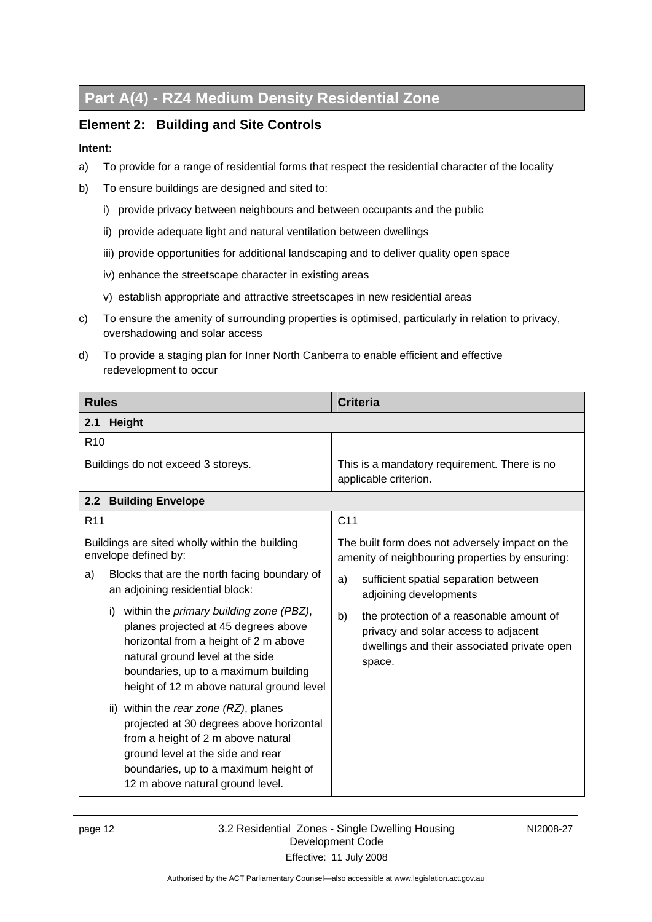# <span id="page-15-0"></span>**Part A(4) - RZ4 Medium Density Residential Zone**

### **Element 2: Building and Site Controls**

- a) To provide for a range of residential forms that respect the residential character of the locality
- b) To ensure buildings are designed and sited to:
	- i) provide privacy between neighbours and between occupants and the public
	- ii) provide adequate light and natural ventilation between dwellings
	- iii) provide opportunities for additional landscaping and to deliver quality open space
	- iv) enhance the streetscape character in existing areas
	- v) establish appropriate and attractive streetscapes in new residential areas
- c) To ensure the amenity of surrounding properties is optimised, particularly in relation to privacy, overshadowing and solar access
- d) To provide a staging plan for Inner North Canberra to enable efficient and effective redevelopment to occur

| <b>Rules</b>                                                                                                                                                                                                                                                    | <b>Criteria</b>                                                                                                                                 |
|-----------------------------------------------------------------------------------------------------------------------------------------------------------------------------------------------------------------------------------------------------------------|-------------------------------------------------------------------------------------------------------------------------------------------------|
| <b>Height</b><br>2.1                                                                                                                                                                                                                                            |                                                                                                                                                 |
| R <sub>10</sub>                                                                                                                                                                                                                                                 |                                                                                                                                                 |
| Buildings do not exceed 3 storeys.                                                                                                                                                                                                                              | This is a mandatory requirement. There is no<br>applicable criterion.                                                                           |
| <b>Building Envelope</b><br>2.2                                                                                                                                                                                                                                 |                                                                                                                                                 |
| R <sub>11</sub>                                                                                                                                                                                                                                                 | C <sub>11</sub>                                                                                                                                 |
| Buildings are sited wholly within the building<br>envelope defined by:                                                                                                                                                                                          | The built form does not adversely impact on the<br>amenity of neighbouring properties by ensuring:                                              |
| Blocks that are the north facing boundary of<br>a)<br>an adjoining residential block:                                                                                                                                                                           | sufficient spatial separation between<br>a)<br>adjoining developments                                                                           |
| within the <i>primary building zone (PBZ)</i> ,<br>i)<br>planes projected at 45 degrees above<br>horizontal from a height of 2 m above<br>natural ground level at the side<br>boundaries, up to a maximum building<br>height of 12 m above natural ground level | b)<br>the protection of a reasonable amount of<br>privacy and solar access to adjacent<br>dwellings and their associated private open<br>space. |
| ii) within the rear zone (RZ), planes<br>projected at 30 degrees above horizontal<br>from a height of 2 m above natural<br>ground level at the side and rear<br>boundaries, up to a maximum height of<br>12 m above natural ground level.                       |                                                                                                                                                 |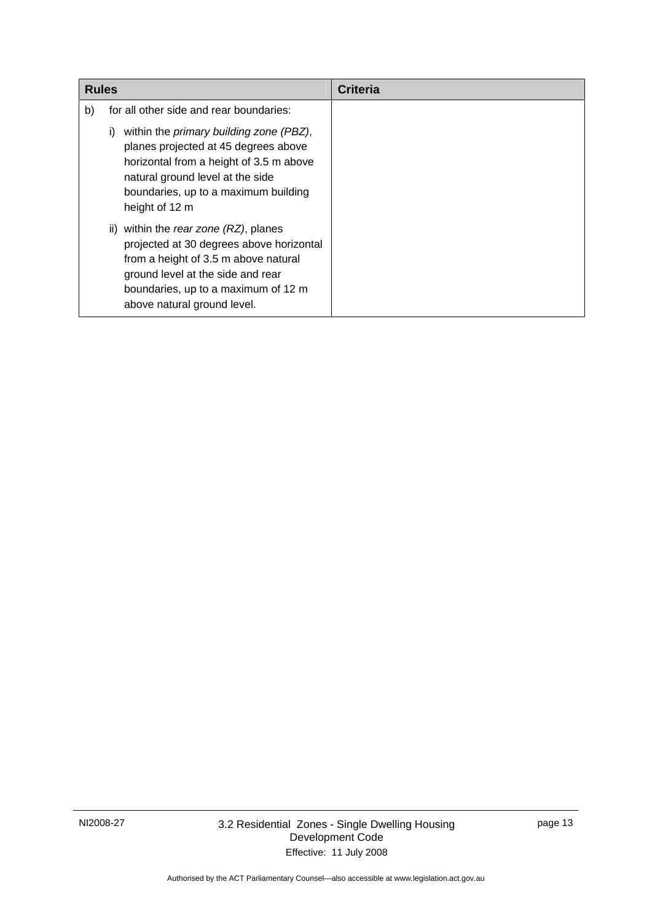| <b>Rules</b> |                                                                                                                                                                                                                                        | Criteria |
|--------------|----------------------------------------------------------------------------------------------------------------------------------------------------------------------------------------------------------------------------------------|----------|
| b)           | for all other side and rear boundaries:                                                                                                                                                                                                |          |
|              | within the <i>primary building zone (PBZ)</i> ,<br>i)<br>planes projected at 45 degrees above<br>horizontal from a height of 3.5 m above<br>natural ground level at the side<br>boundaries, up to a maximum building<br>height of 12 m |          |
|              | ii) within the rear zone (RZ), planes<br>projected at 30 degrees above horizontal<br>from a height of 3.5 m above natural<br>ground level at the side and rear<br>boundaries, up to a maximum of 12 m<br>above natural ground level.   |          |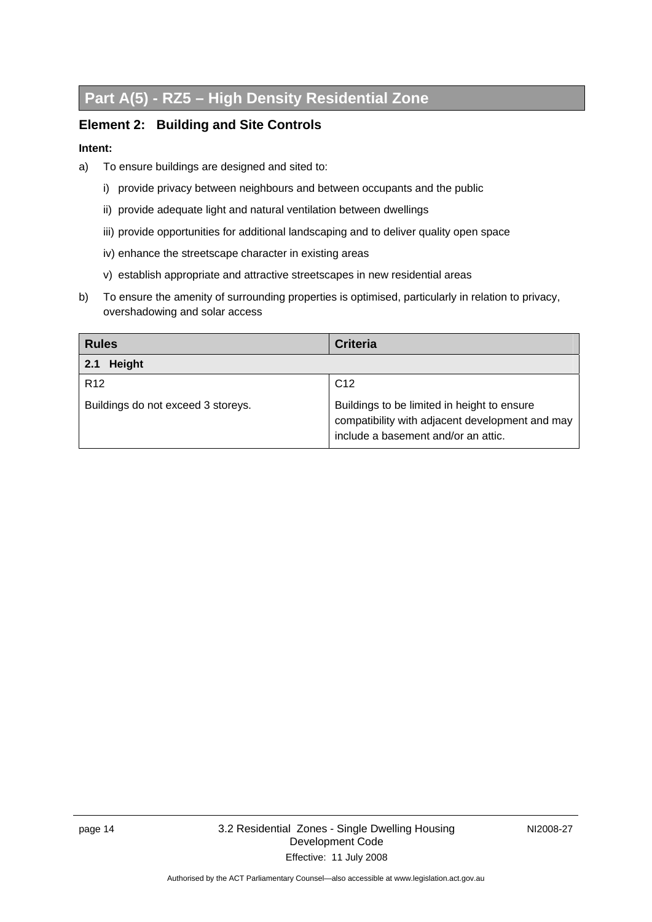# <span id="page-17-0"></span>**Part A(5) - RZ5 – High Density Residential Zone**

### **Element 2: Building and Site Controls**

- a) To ensure buildings are designed and sited to:
	- i) provide privacy between neighbours and between occupants and the public
	- ii) provide adequate light and natural ventilation between dwellings
	- iii) provide opportunities for additional landscaping and to deliver quality open space
	- iv) enhance the streetscape character in existing areas
	- v) establish appropriate and attractive streetscapes in new residential areas
- b) To ensure the amenity of surrounding properties is optimised, particularly in relation to privacy, overshadowing and solar access

| <b>Rules</b>                       | <b>Criteria</b>                                                                                                                       |
|------------------------------------|---------------------------------------------------------------------------------------------------------------------------------------|
| <b>Height</b><br>2.1               |                                                                                                                                       |
| R <sub>12</sub>                    | C <sub>12</sub>                                                                                                                       |
| Buildings do not exceed 3 storeys. | Buildings to be limited in height to ensure<br>compatibility with adjacent development and may<br>include a basement and/or an attic. |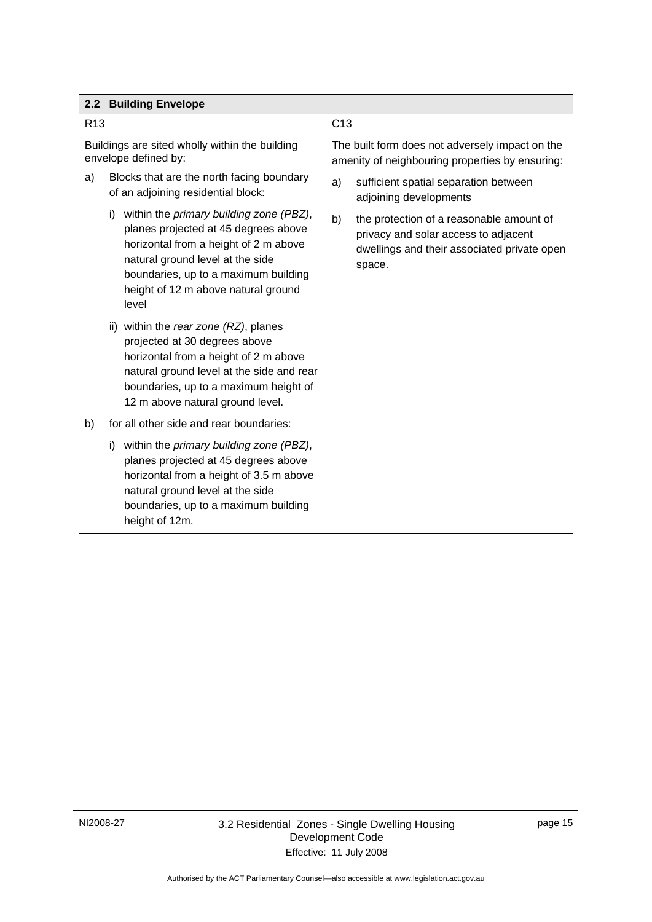<span id="page-18-0"></span>

|                 | 2.2 Building Envelope                                                                                                                                                                                                                                                     |                                                                                                                                                 |
|-----------------|---------------------------------------------------------------------------------------------------------------------------------------------------------------------------------------------------------------------------------------------------------------------------|-------------------------------------------------------------------------------------------------------------------------------------------------|
| R <sub>13</sub> |                                                                                                                                                                                                                                                                           | C13                                                                                                                                             |
|                 | Buildings are sited wholly within the building<br>envelope defined by:                                                                                                                                                                                                    | The built form does not adversely impact on the<br>amenity of neighbouring properties by ensuring:                                              |
| a)              | Blocks that are the north facing boundary<br>of an adjoining residential block:                                                                                                                                                                                           | sufficient spatial separation between<br>a)<br>adjoining developments                                                                           |
|                 | within the primary building zone (PBZ),<br>i)<br>planes projected at 45 degrees above<br>horizontal from a height of 2 m above<br>natural ground level at the side<br>boundaries, up to a maximum building<br>height of 12 m above natural ground<br>level                | b)<br>the protection of a reasonable amount of<br>privacy and solar access to adjacent<br>dwellings and their associated private open<br>space. |
|                 | ii) within the rear zone (RZ), planes<br>projected at 30 degrees above<br>horizontal from a height of 2 m above<br>natural ground level at the side and rear<br>boundaries, up to a maximum height of<br>12 m above natural ground level.                                 |                                                                                                                                                 |
| b)              | for all other side and rear boundaries:<br>within the primary building zone (PBZ),<br>i)<br>planes projected at 45 degrees above<br>horizontal from a height of 3.5 m above<br>natural ground level at the side<br>boundaries, up to a maximum building<br>height of 12m. |                                                                                                                                                 |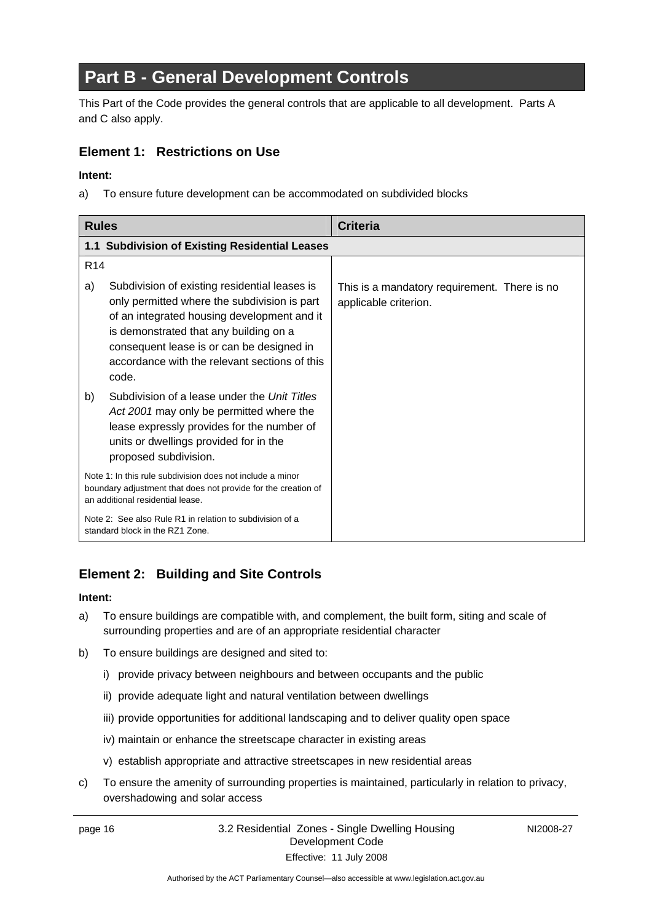# <span id="page-19-0"></span>**Part B - General Development Controls**

This Part of the Code provides the general controls that are applicable to all development. Parts A and C also apply.

### **Element 1: Restrictions on Use**

### **Intent:**

a) To ensure future development can be accommodated on subdivided blocks

| <b>Rules</b>    |                                                                                                                                                                                                                                                                                               | <b>Criteria</b>                                                       |
|-----------------|-----------------------------------------------------------------------------------------------------------------------------------------------------------------------------------------------------------------------------------------------------------------------------------------------|-----------------------------------------------------------------------|
|                 | 1.1 Subdivision of Existing Residential Leases                                                                                                                                                                                                                                                |                                                                       |
| R <sub>14</sub> |                                                                                                                                                                                                                                                                                               |                                                                       |
| a)              | Subdivision of existing residential leases is<br>only permitted where the subdivision is part<br>of an integrated housing development and it<br>is demonstrated that any building on a<br>consequent lease is or can be designed in<br>accordance with the relevant sections of this<br>code. | This is a mandatory requirement. There is no<br>applicable criterion. |
| b)              | Subdivision of a lease under the Unit Titles<br>Act 2001 may only be permitted where the<br>lease expressly provides for the number of<br>units or dwellings provided for in the<br>proposed subdivision.                                                                                     |                                                                       |
|                 | Note 1: In this rule subdivision does not include a minor<br>boundary adjustment that does not provide for the creation of<br>an additional residential lease.                                                                                                                                |                                                                       |
|                 | Note 2: See also Rule R1 in relation to subdivision of a<br>standard block in the RZ1 Zone.                                                                                                                                                                                                   |                                                                       |

# **Element 2: Building and Site Controls**

#### **Intent:**

- a) To ensure buildings are compatible with, and complement, the built form, siting and scale of surrounding properties and are of an appropriate residential character
- b) To ensure buildings are designed and sited to:
	- i) provide privacy between neighbours and between occupants and the public
	- ii) provide adequate light and natural ventilation between dwellings
	- iii) provide opportunities for additional landscaping and to deliver quality open space
	- iv) maintain or enhance the streetscape character in existing areas
	- v) establish appropriate and attractive streetscapes in new residential areas
- c) To ensure the amenity of surrounding properties is maintained, particularly in relation to privacy, overshadowing and solar access

#### page 16 3.2 Residential Zones - Single Dwelling Housing Development Code Effective: 11 July 2008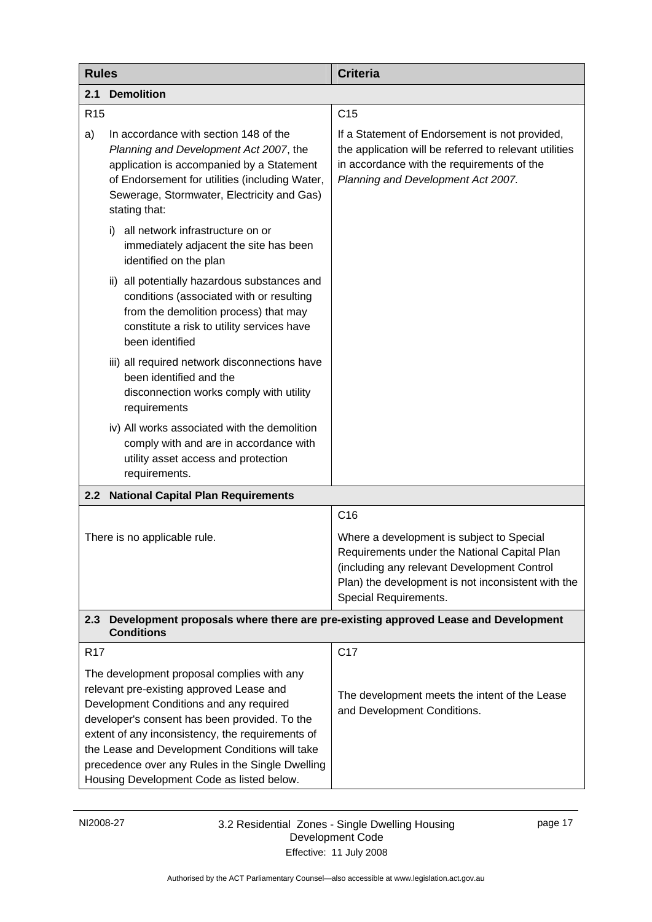<span id="page-20-0"></span>

| <b>Rules</b>                                                                                                  |                                                                                                                                                                                                                                                                                                                                                                                           | <b>Criteria</b>                                                                                                                                                                                                         |
|---------------------------------------------------------------------------------------------------------------|-------------------------------------------------------------------------------------------------------------------------------------------------------------------------------------------------------------------------------------------------------------------------------------------------------------------------------------------------------------------------------------------|-------------------------------------------------------------------------------------------------------------------------------------------------------------------------------------------------------------------------|
| 2.1                                                                                                           | <b>Demolition</b>                                                                                                                                                                                                                                                                                                                                                                         |                                                                                                                                                                                                                         |
| R <sub>15</sub>                                                                                               |                                                                                                                                                                                                                                                                                                                                                                                           | C <sub>15</sub>                                                                                                                                                                                                         |
| a)                                                                                                            | In accordance with section 148 of the<br>Planning and Development Act 2007, the<br>application is accompanied by a Statement<br>of Endorsement for utilities (including Water,<br>Sewerage, Stormwater, Electricity and Gas)<br>stating that:                                                                                                                                             | If a Statement of Endorsement is not provided,<br>the application will be referred to relevant utilities<br>in accordance with the requirements of the<br>Planning and Development Act 2007.                            |
|                                                                                                               | all network infrastructure on or<br>i).<br>immediately adjacent the site has been<br>identified on the plan                                                                                                                                                                                                                                                                               |                                                                                                                                                                                                                         |
|                                                                                                               | all potentially hazardous substances and<br>ii)<br>conditions (associated with or resulting<br>from the demolition process) that may<br>constitute a risk to utility services have<br>been identified                                                                                                                                                                                     |                                                                                                                                                                                                                         |
|                                                                                                               | iii) all required network disconnections have<br>been identified and the<br>disconnection works comply with utility<br>requirements                                                                                                                                                                                                                                                       |                                                                                                                                                                                                                         |
|                                                                                                               | iv) All works associated with the demolition<br>comply with and are in accordance with<br>utility asset access and protection<br>requirements.                                                                                                                                                                                                                                            |                                                                                                                                                                                                                         |
| 2.2                                                                                                           | <b>National Capital Plan Requirements</b>                                                                                                                                                                                                                                                                                                                                                 |                                                                                                                                                                                                                         |
|                                                                                                               |                                                                                                                                                                                                                                                                                                                                                                                           | C16                                                                                                                                                                                                                     |
|                                                                                                               | There is no applicable rule.                                                                                                                                                                                                                                                                                                                                                              | Where a development is subject to Special<br>Requirements under the National Capital Plan<br>(including any relevant Development Control<br>Plan) the development is not inconsistent with the<br>Special Requirements. |
| Development proposals where there are pre-existing approved Lease and Development<br>2.3<br><b>Conditions</b> |                                                                                                                                                                                                                                                                                                                                                                                           |                                                                                                                                                                                                                         |
| R <sub>17</sub>                                                                                               |                                                                                                                                                                                                                                                                                                                                                                                           | C17                                                                                                                                                                                                                     |
|                                                                                                               | The development proposal complies with any<br>relevant pre-existing approved Lease and<br>Development Conditions and any required<br>developer's consent has been provided. To the<br>extent of any inconsistency, the requirements of<br>the Lease and Development Conditions will take<br>precedence over any Rules in the Single Dwelling<br>Housing Development Code as listed below. | The development meets the intent of the Lease<br>and Development Conditions.                                                                                                                                            |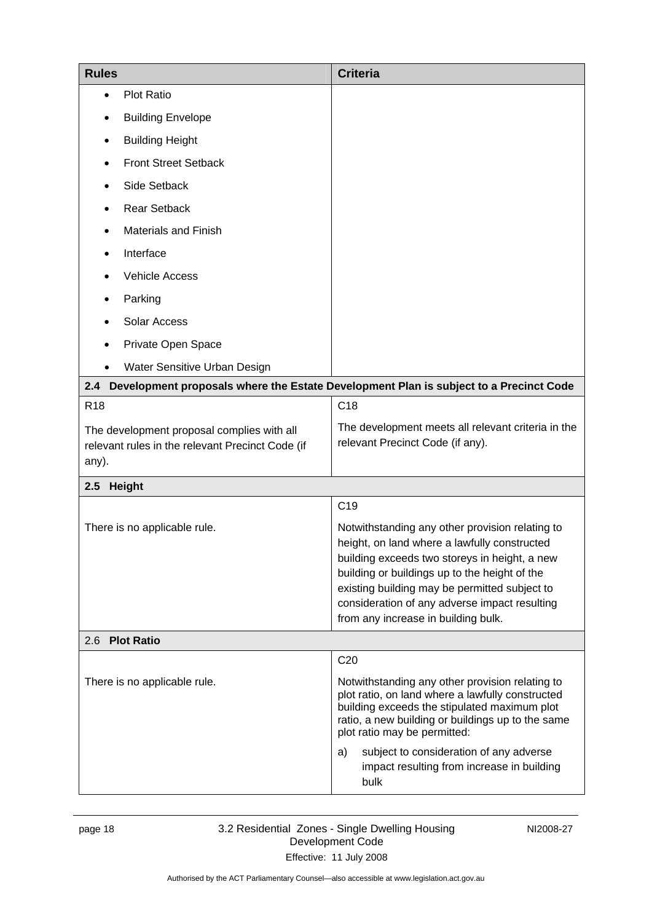<span id="page-21-0"></span>

| <b>Rules</b>   |                                                                                                | <b>Criteria</b>                                                                                                                                                                                                                                                                                                                            |
|----------------|------------------------------------------------------------------------------------------------|--------------------------------------------------------------------------------------------------------------------------------------------------------------------------------------------------------------------------------------------------------------------------------------------------------------------------------------------|
| $\bullet$      | <b>Plot Ratio</b>                                                                              |                                                                                                                                                                                                                                                                                                                                            |
|                | <b>Building Envelope</b>                                                                       |                                                                                                                                                                                                                                                                                                                                            |
|                | <b>Building Height</b>                                                                         |                                                                                                                                                                                                                                                                                                                                            |
|                | <b>Front Street Setback</b>                                                                    |                                                                                                                                                                                                                                                                                                                                            |
|                | Side Setback                                                                                   |                                                                                                                                                                                                                                                                                                                                            |
|                | <b>Rear Setback</b>                                                                            |                                                                                                                                                                                                                                                                                                                                            |
|                | <b>Materials and Finish</b>                                                                    |                                                                                                                                                                                                                                                                                                                                            |
|                | Interface                                                                                      |                                                                                                                                                                                                                                                                                                                                            |
|                | <b>Vehicle Access</b>                                                                          |                                                                                                                                                                                                                                                                                                                                            |
|                | Parking                                                                                        |                                                                                                                                                                                                                                                                                                                                            |
|                | Solar Access                                                                                   |                                                                                                                                                                                                                                                                                                                                            |
|                | Private Open Space                                                                             |                                                                                                                                                                                                                                                                                                                                            |
|                | Water Sensitive Urban Design                                                                   |                                                                                                                                                                                                                                                                                                                                            |
| 2.4            |                                                                                                | Development proposals where the Estate Development Plan is subject to a Precinct Code                                                                                                                                                                                                                                                      |
| <b>R18</b>     |                                                                                                | C <sub>18</sub>                                                                                                                                                                                                                                                                                                                            |
|                | The development proposal complies with all<br>relevant rules in the relevant Precinct Code (if | The development meets all relevant criteria in the<br>relevant Precinct Code (if any).                                                                                                                                                                                                                                                     |
| any).          |                                                                                                |                                                                                                                                                                                                                                                                                                                                            |
| 2.5 Height     |                                                                                                |                                                                                                                                                                                                                                                                                                                                            |
|                |                                                                                                | C <sub>19</sub>                                                                                                                                                                                                                                                                                                                            |
|                | There is no applicable rule.                                                                   | Notwithstanding any other provision relating to<br>height, on land where a lawfully constructed<br>building exceeds two storeys in height, a new<br>building or buildings up to the height of the<br>existing building may be permitted subject to<br>consideration of any adverse impact resulting<br>from any increase in building bulk. |
| 2.6 Plot Ratio |                                                                                                |                                                                                                                                                                                                                                                                                                                                            |
|                | There is no applicable rule.                                                                   | C <sub>20</sub><br>Notwithstanding any other provision relating to<br>plot ratio, on land where a lawfully constructed                                                                                                                                                                                                                     |
|                |                                                                                                | building exceeds the stipulated maximum plot<br>ratio, a new building or buildings up to the same<br>plot ratio may be permitted:                                                                                                                                                                                                          |
|                |                                                                                                | subject to consideration of any adverse<br>a)<br>impact resulting from increase in building<br>bulk                                                                                                                                                                                                                                        |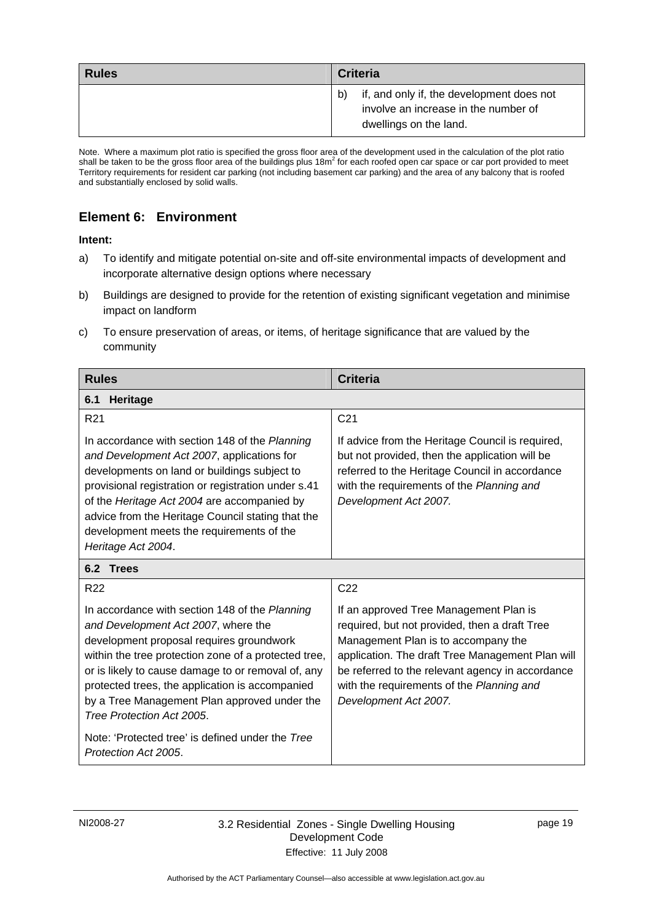<span id="page-22-0"></span>

| <b>Rules</b> | <b>Criteria</b>                                                                                             |
|--------------|-------------------------------------------------------------------------------------------------------------|
|              | if, and only if, the development does not<br>involve an increase in the number of<br>dwellings on the land. |

Note. Where a maximum plot ratio is specified the gross floor area of the development used in the calculation of the plot ratio shall be taken to be the gross floor area of the buildings plus  $18m^2$  for each roofed open car space or car port provided to meet Territory requirements for resident car parking (not including basement car parking) and the area of any balcony that is roofed and substantially enclosed by solid walls.

### **Element 6: Environment**

- a) To identify and mitigate potential on-site and off-site environmental impacts of development and incorporate alternative design options where necessary
- b) Buildings are designed to provide for the retention of existing significant vegetation and minimise impact on landform
- c) To ensure preservation of areas, or items, of heritage significance that are valued by the community

| <b>Rules</b>                                                                                                                                                                                                                                                                                                                                                                    | <b>Criteria</b>                                                                                                                                                                                                                                                                                              |  |  |
|---------------------------------------------------------------------------------------------------------------------------------------------------------------------------------------------------------------------------------------------------------------------------------------------------------------------------------------------------------------------------------|--------------------------------------------------------------------------------------------------------------------------------------------------------------------------------------------------------------------------------------------------------------------------------------------------------------|--|--|
| 6.1<br><b>Heritage</b>                                                                                                                                                                                                                                                                                                                                                          |                                                                                                                                                                                                                                                                                                              |  |  |
| R <sub>21</sub>                                                                                                                                                                                                                                                                                                                                                                 | C <sub>21</sub>                                                                                                                                                                                                                                                                                              |  |  |
| In accordance with section 148 of the Planning<br>and Development Act 2007, applications for<br>developments on land or buildings subject to<br>provisional registration or registration under s.41<br>of the Heritage Act 2004 are accompanied by<br>advice from the Heritage Council stating that the<br>development meets the requirements of the<br>Heritage Act 2004.      | If advice from the Heritage Council is required,<br>but not provided, then the application will be<br>referred to the Heritage Council in accordance<br>with the requirements of the Planning and<br>Development Act 2007.                                                                                   |  |  |
| 6.2 Trees                                                                                                                                                                                                                                                                                                                                                                       |                                                                                                                                                                                                                                                                                                              |  |  |
| R <sub>22</sub>                                                                                                                                                                                                                                                                                                                                                                 | C <sub>22</sub>                                                                                                                                                                                                                                                                                              |  |  |
| In accordance with section 148 of the Planning<br>and Development Act 2007, where the<br>development proposal requires groundwork<br>within the tree protection zone of a protected tree,<br>or is likely to cause damage to or removal of, any<br>protected trees, the application is accompanied<br>by a Tree Management Plan approved under the<br>Tree Protection Act 2005. | If an approved Tree Management Plan is<br>required, but not provided, then a draft Tree<br>Management Plan is to accompany the<br>application. The draft Tree Management Plan will<br>be referred to the relevant agency in accordance<br>with the requirements of the Planning and<br>Development Act 2007. |  |  |
| Note: 'Protected tree' is defined under the Tree<br>Protection Act 2005.                                                                                                                                                                                                                                                                                                        |                                                                                                                                                                                                                                                                                                              |  |  |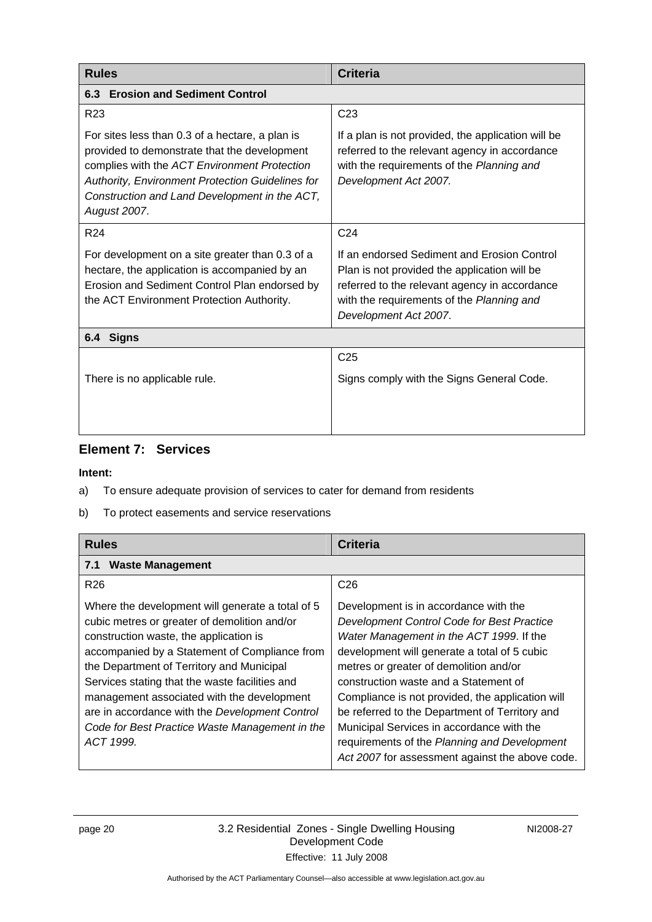<span id="page-23-0"></span>

| <b>Rules</b>                                                                                                                                                                                                                                                         | <b>Criteria</b>                                                                                                                                                                                                    |
|----------------------------------------------------------------------------------------------------------------------------------------------------------------------------------------------------------------------------------------------------------------------|--------------------------------------------------------------------------------------------------------------------------------------------------------------------------------------------------------------------|
| <b>Erosion and Sediment Control</b><br>6.3                                                                                                                                                                                                                           |                                                                                                                                                                                                                    |
| R <sub>23</sub>                                                                                                                                                                                                                                                      | C <sub>23</sub>                                                                                                                                                                                                    |
| For sites less than 0.3 of a hectare, a plan is<br>provided to demonstrate that the development<br>complies with the ACT Environment Protection<br>Authority, Environment Protection Guidelines for<br>Construction and Land Development in the ACT,<br>August 2007. | If a plan is not provided, the application will be<br>referred to the relevant agency in accordance<br>with the requirements of the Planning and<br>Development Act 2007.                                          |
| R <sub>24</sub>                                                                                                                                                                                                                                                      | C <sub>24</sub>                                                                                                                                                                                                    |
| For development on a site greater than 0.3 of a<br>hectare, the application is accompanied by an<br>Erosion and Sediment Control Plan endorsed by<br>the ACT Environment Protection Authority.                                                                       | If an endorsed Sediment and Erosion Control<br>Plan is not provided the application will be<br>referred to the relevant agency in accordance<br>with the requirements of the Planning and<br>Development Act 2007. |
| <b>Signs</b><br>6.4                                                                                                                                                                                                                                                  |                                                                                                                                                                                                                    |
| There is no applicable rule.                                                                                                                                                                                                                                         | C <sub>25</sub><br>Signs comply with the Signs General Code.                                                                                                                                                       |

# **Element 7: Services**

- a) To ensure adequate provision of services to cater for demand from residents
- b) To protect easements and service reservations

| <b>Rules</b>                                                                                                                                                                                                                                                                                                                                                                                                                                              | <b>Criteria</b>                                                                                                                                                                                                                                                                                                                                                                                                                                                                                                          |
|-----------------------------------------------------------------------------------------------------------------------------------------------------------------------------------------------------------------------------------------------------------------------------------------------------------------------------------------------------------------------------------------------------------------------------------------------------------|--------------------------------------------------------------------------------------------------------------------------------------------------------------------------------------------------------------------------------------------------------------------------------------------------------------------------------------------------------------------------------------------------------------------------------------------------------------------------------------------------------------------------|
| <b>Waste Management</b><br>7.1                                                                                                                                                                                                                                                                                                                                                                                                                            |                                                                                                                                                                                                                                                                                                                                                                                                                                                                                                                          |
| R <sub>26</sub>                                                                                                                                                                                                                                                                                                                                                                                                                                           | C <sub>26</sub>                                                                                                                                                                                                                                                                                                                                                                                                                                                                                                          |
| Where the development will generate a total of 5<br>cubic metres or greater of demolition and/or<br>construction waste, the application is<br>accompanied by a Statement of Compliance from<br>the Department of Territory and Municipal<br>Services stating that the waste facilities and<br>management associated with the development<br>are in accordance with the Development Control<br>Code for Best Practice Waste Management in the<br>ACT 1999. | Development is in accordance with the<br>Development Control Code for Best Practice<br>Water Management in the ACT 1999. If the<br>development will generate a total of 5 cubic<br>metres or greater of demolition and/or<br>construction waste and a Statement of<br>Compliance is not provided, the application will<br>be referred to the Department of Territory and<br>Municipal Services in accordance with the<br>requirements of the Planning and Development<br>Act 2007 for assessment against the above code. |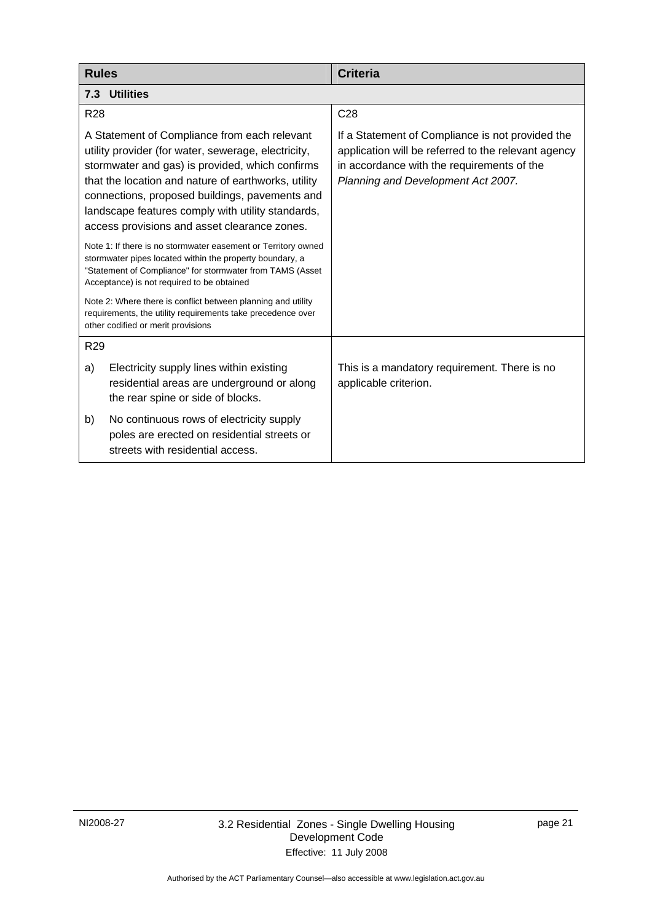<span id="page-24-0"></span>

| <b>Rules</b>                                                                                                                                                                                                                                                                                                                                                         | <b>Criteria</b>                                                                                                                                                                             |  |
|----------------------------------------------------------------------------------------------------------------------------------------------------------------------------------------------------------------------------------------------------------------------------------------------------------------------------------------------------------------------|---------------------------------------------------------------------------------------------------------------------------------------------------------------------------------------------|--|
| <b>Utilities</b><br>7.3                                                                                                                                                                                                                                                                                                                                              |                                                                                                                                                                                             |  |
| R <sub>28</sub>                                                                                                                                                                                                                                                                                                                                                      | C <sub>28</sub>                                                                                                                                                                             |  |
| A Statement of Compliance from each relevant<br>utility provider (for water, sewerage, electricity,<br>stormwater and gas) is provided, which confirms<br>that the location and nature of earthworks, utility<br>connections, proposed buildings, pavements and<br>landscape features comply with utility standards,<br>access provisions and asset clearance zones. | If a Statement of Compliance is not provided the<br>application will be referred to the relevant agency<br>in accordance with the requirements of the<br>Planning and Development Act 2007. |  |
| Note 1: If there is no stormwater easement or Territory owned<br>stormwater pipes located within the property boundary, a<br>"Statement of Compliance" for stormwater from TAMS (Asset<br>Acceptance) is not required to be obtained                                                                                                                                 |                                                                                                                                                                                             |  |
| Note 2: Where there is conflict between planning and utility<br>requirements, the utility requirements take precedence over<br>other codified or merit provisions                                                                                                                                                                                                    |                                                                                                                                                                                             |  |
| R <sub>29</sub>                                                                                                                                                                                                                                                                                                                                                      |                                                                                                                                                                                             |  |
| Electricity supply lines within existing<br>a)<br>residential areas are underground or along<br>the rear spine or side of blocks.                                                                                                                                                                                                                                    | This is a mandatory requirement. There is no<br>applicable criterion.                                                                                                                       |  |
| No continuous rows of electricity supply<br>b)<br>poles are erected on residential streets or<br>streets with residential access.                                                                                                                                                                                                                                    |                                                                                                                                                                                             |  |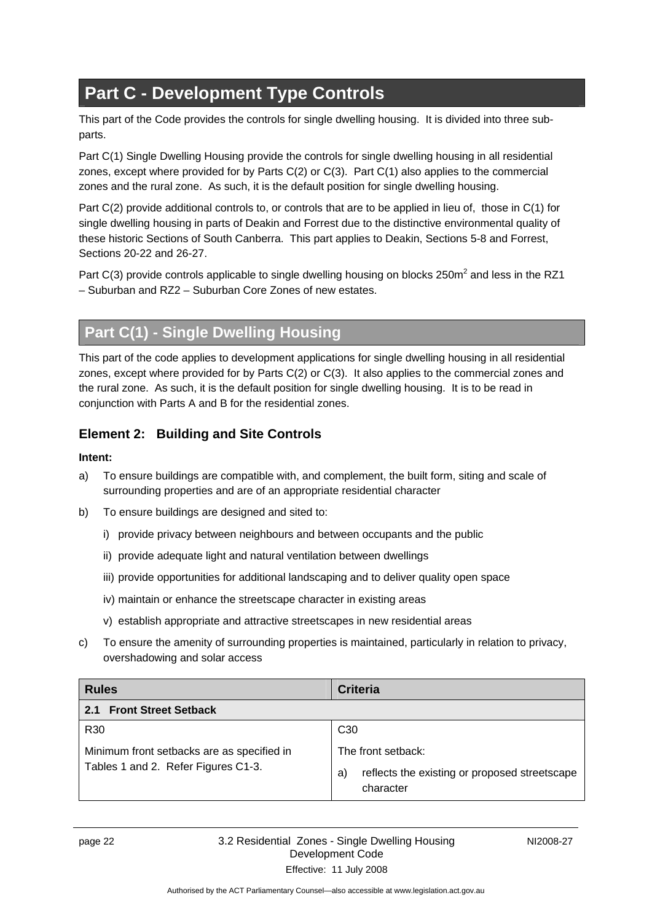# <span id="page-25-0"></span>**Part C - Development Type Controls**

This part of the Code provides the controls for single dwelling housing. It is divided into three subparts.

Part C(1) Single Dwelling Housing provide the controls for single dwelling housing in all residential zones, except where provided for by Parts C(2) or C(3). Part C(1) also applies to the commercial zones and the rural zone. As such, it is the default position for single dwelling housing.

Part C(2) provide additional controls to, or controls that are to be applied in lieu of, those in C(1) for single dwelling housing in parts of Deakin and Forrest due to the distinctive environmental quality of these historic Sections of South Canberra. This part applies to Deakin, Sections 5-8 and Forrest, Sections 20-22 and 26-27.

Part C(3) provide controls applicable to single dwelling housing on blocks 250 $m^2$  and less in the RZ1 – Suburban and RZ2 – Suburban Core Zones of new estates.

# **Part C(1) - Single Dwelling Housing**

This part of the code applies to development applications for single dwelling housing in all residential zones, except where provided for by Parts C(2) or C(3). It also applies to the commercial zones and the rural zone. As such, it is the default position for single dwelling housing. It is to be read in conjunction with Parts A and B for the residential zones.

# **Element 2: Building and Site Controls**

- a) To ensure buildings are compatible with, and complement, the built form, siting and scale of surrounding properties and are of an appropriate residential character
- b) To ensure buildings are designed and sited to:
	- i) provide privacy between neighbours and between occupants and the public
	- ii) provide adequate light and natural ventilation between dwellings
	- iii) provide opportunities for additional landscaping and to deliver quality open space
	- iv) maintain or enhance the streetscape character in existing areas
	- v) establish appropriate and attractive streetscapes in new residential areas
- c) To ensure the amenity of surrounding properties is maintained, particularly in relation to privacy, overshadowing and solar access

| <b>Rules</b>                                                                      | <b>Criteria</b>                                                                       |  |
|-----------------------------------------------------------------------------------|---------------------------------------------------------------------------------------|--|
| <b>Front Street Setback</b><br>2.1                                                |                                                                                       |  |
| R <sub>30</sub>                                                                   | C <sub>30</sub>                                                                       |  |
| Minimum front setbacks are as specified in<br>Tables 1 and 2. Refer Figures C1-3. | The front setback:<br>reflects the existing or proposed streetscape<br>a<br>character |  |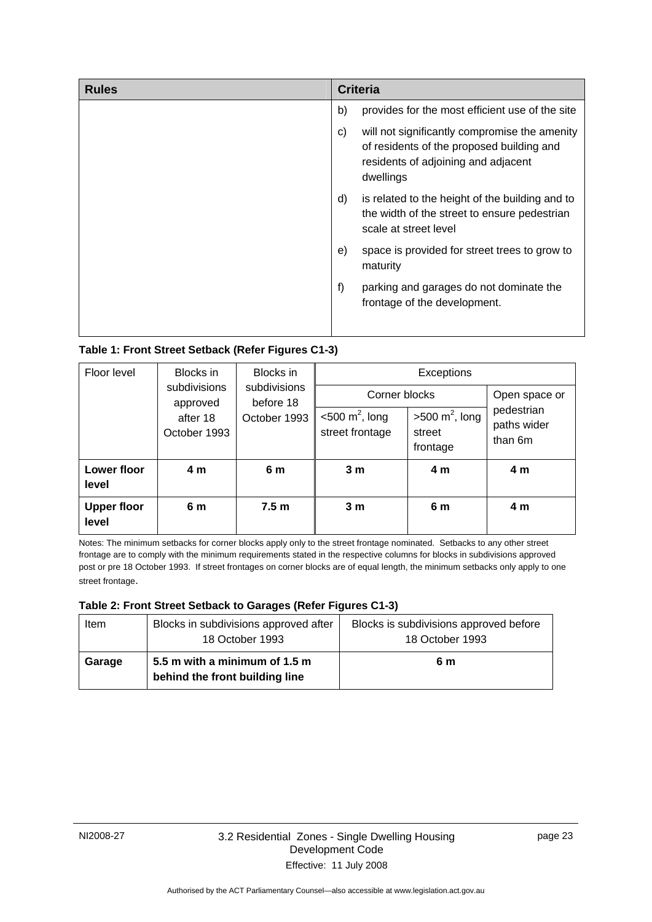| <b>Rules</b> | <b>Criteria</b>                                                                                                                                      |  |
|--------------|------------------------------------------------------------------------------------------------------------------------------------------------------|--|
|              | b)<br>provides for the most efficient use of the site                                                                                                |  |
|              | will not significantly compromise the amenity<br>C)<br>of residents of the proposed building and<br>residents of adjoining and adjacent<br>dwellings |  |
|              | is related to the height of the building and to<br>d)<br>the width of the street to ensure pedestrian<br>scale at street level                       |  |
|              | space is provided for street trees to grow to<br>e)<br>maturity                                                                                      |  |
|              | f)<br>parking and garages do not dominate the<br>frontage of the development.                                                                        |  |
|              |                                                                                                                                                      |  |

### **Table 1: Front Street Setback (Refer Figures C1-3)**

| Floor level<br>Blocks in    | Blocks in                                                                                         | Exceptions                                       |                                                 |                                      |                |
|-----------------------------|---------------------------------------------------------------------------------------------------|--------------------------------------------------|-------------------------------------------------|--------------------------------------|----------------|
|                             | subdivisions<br>subdivisions<br>before 18<br>approved<br>October 1993<br>after 18<br>October 1993 | Corner blocks                                    |                                                 | Open space or                        |                |
|                             |                                                                                                   | $<$ 500 m <sup>2</sup> , long<br>street frontage | $>500 \text{ m}^2$ , long<br>street<br>frontage | pedestrian<br>paths wider<br>than 6m |                |
| Lower floor<br>level        | 4 m                                                                                               | 6 m                                              | 3 <sub>m</sub>                                  | 4 m                                  | 4 m            |
| <b>Upper floor</b><br>level | 6 m                                                                                               | 7.5 <sub>m</sub>                                 | 3 <sub>m</sub>                                  | 6 m                                  | 4 <sub>m</sub> |

Notes: The minimum setbacks for corner blocks apply only to the street frontage nominated. Setbacks to any other street frontage are to comply with the minimum requirements stated in the respective columns for blocks in subdivisions approved post or pre 18 October 1993. If street frontages on corner blocks are of equal length, the minimum setbacks only apply to one street frontage.

#### **Table 2: Front Street Setback to Garages (Refer Figures C1-3)**

| Item   | Blocks in subdivisions approved after<br>18 October 1993        | Blocks is subdivisions approved before<br>18 October 1993 |
|--------|-----------------------------------------------------------------|-----------------------------------------------------------|
| Garage | 5.5 m with a minimum of 1.5 m<br>behind the front building line | 6 m                                                       |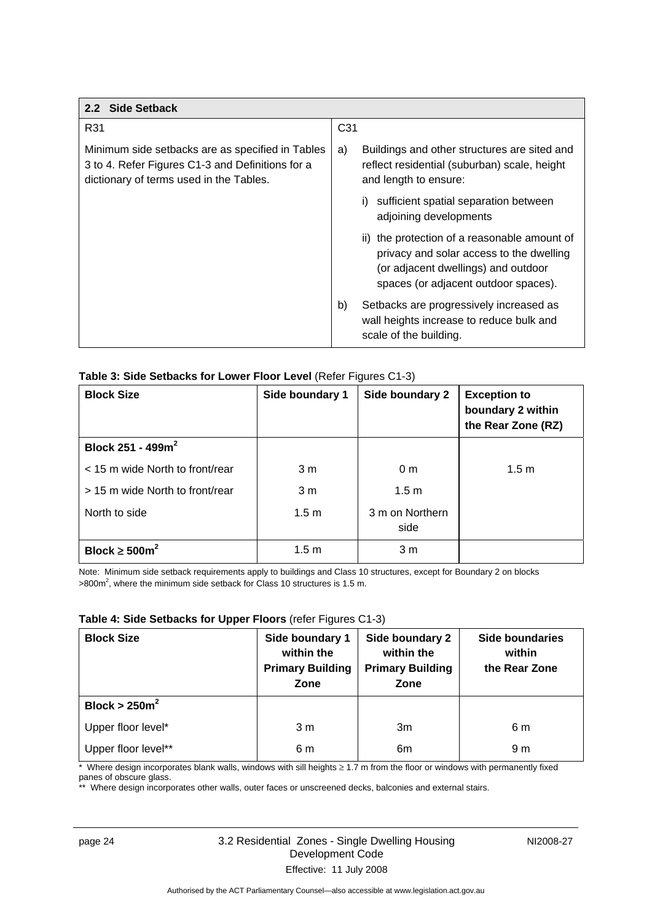<span id="page-27-0"></span>

| 2.2 Side Setback                                                                                                                                |                                                                                                                                                                         |  |
|-------------------------------------------------------------------------------------------------------------------------------------------------|-------------------------------------------------------------------------------------------------------------------------------------------------------------------------|--|
| R31                                                                                                                                             | C <sub>31</sub>                                                                                                                                                         |  |
| Minimum side setbacks are as specified in Tables<br>3 to 4. Refer Figures C1-3 and Definitions for a<br>dictionary of terms used in the Tables. | Buildings and other structures are sited and<br>a)<br>reflect residential (suburban) scale, height<br>and length to ensure:                                             |  |
|                                                                                                                                                 | sufficient spatial separation between<br>adjoining developments                                                                                                         |  |
|                                                                                                                                                 | ii) the protection of a reasonable amount of<br>privacy and solar access to the dwelling<br>(or adjacent dwellings) and outdoor<br>spaces (or adjacent outdoor spaces). |  |
|                                                                                                                                                 | b)<br>Setbacks are progressively increased as<br>wall heights increase to reduce bulk and<br>scale of the building.                                                     |  |

### **Table 3: Side Setbacks for Lower Floor Level** (Refer Figures C1-3)

| <b>Block Size</b>               | Side boundary 1  | Side boundary 2         | <b>Exception to</b><br>boundary 2 within<br>the Rear Zone (RZ) |
|---------------------------------|------------------|-------------------------|----------------------------------------------------------------|
| Block 251 - 499 $m^2$           |                  |                         |                                                                |
| < 15 m wide North to front/rear | 3 m              | 0 <sub>m</sub>          | 1.5 <sub>m</sub>                                               |
| > 15 m wide North to front/rear | 3 <sub>m</sub>   | 1.5 <sub>m</sub>        |                                                                |
| North to side                   | 1.5 <sub>m</sub> | 3 m on Northern<br>side |                                                                |
| Block $\geq 500$ m <sup>2</sup> | 1.5 <sub>m</sub> | 3 m                     |                                                                |

Note: Minimum side setback requirements apply to buildings and Class 10 structures, except for Boundary 2 on blocks  $>800$ m<sup>2</sup>, where the minimum side setback for Class 10 structures is 1.5 m.

### **Table 4: Side Setbacks for Upper Floors** (refer Figures C1-3)

| <b>Block Size</b>   | Side boundary 1<br>within the<br><b>Primary Building</b><br>Zone | Side boundary 2<br>within the<br><b>Primary Building</b><br>Zone | Side boundaries<br>within<br>the Rear Zone |
|---------------------|------------------------------------------------------------------|------------------------------------------------------------------|--------------------------------------------|
| Block > $250m^2$    |                                                                  |                                                                  |                                            |
| Upper floor level*  | 3 <sub>m</sub>                                                   | 3m                                                               | 6 m                                        |
| Upper floor level** | 6 m                                                              | 6m                                                               | 9 m                                        |

\* Where design incorporates blank walls, windows with sill heights ≥ 1.7 m from the floor or windows with permanently fixed panes of obscure glass.

\*\* Where design incorporates other walls, outer faces or unscreened decks, balconies and external stairs.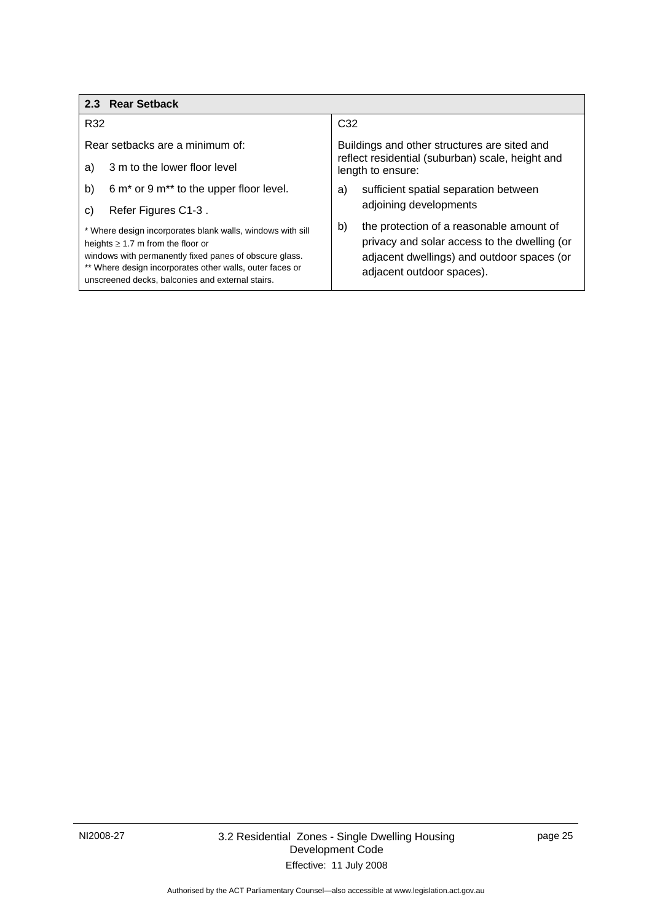<span id="page-28-0"></span>

| 2.3 Rear Setback                                                                                                                                                                                                                                                               |                                                                                                                                                                           |  |
|--------------------------------------------------------------------------------------------------------------------------------------------------------------------------------------------------------------------------------------------------------------------------------|---------------------------------------------------------------------------------------------------------------------------------------------------------------------------|--|
| R32                                                                                                                                                                                                                                                                            | C <sub>32</sub>                                                                                                                                                           |  |
| Rear setbacks are a minimum of:                                                                                                                                                                                                                                                | Buildings and other structures are sited and<br>reflect residential (suburban) scale, height and<br>length to ensure:                                                     |  |
| 3 m to the lower floor level<br>a)                                                                                                                                                                                                                                             |                                                                                                                                                                           |  |
| b)<br>6 m <sup>*</sup> or 9 m <sup>**</sup> to the upper floor level.                                                                                                                                                                                                          | sufficient spatial separation between<br>a)                                                                                                                               |  |
| Refer Figures C1-3.<br>C)                                                                                                                                                                                                                                                      | adjoining developments                                                                                                                                                    |  |
| * Where design incorporates blank walls, windows with sill<br>heights $\geq 1.7$ m from the floor or<br>windows with permanently fixed panes of obscure glass.<br>** Where design incorporates other walls, outer faces or<br>unscreened decks, balconies and external stairs. | b)<br>the protection of a reasonable amount of<br>privacy and solar access to the dwelling (or<br>adjacent dwellings) and outdoor spaces (or<br>adjacent outdoor spaces). |  |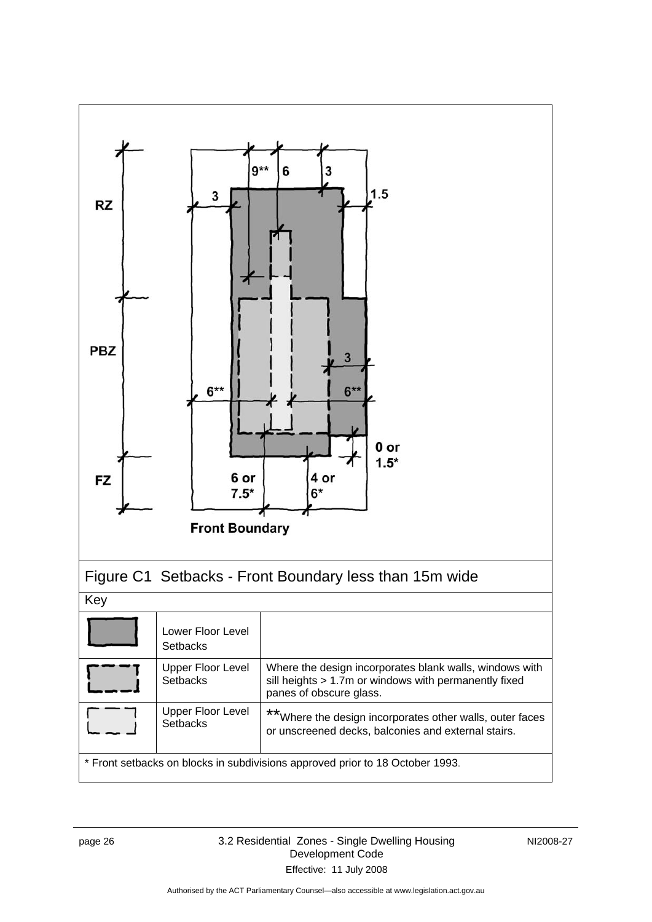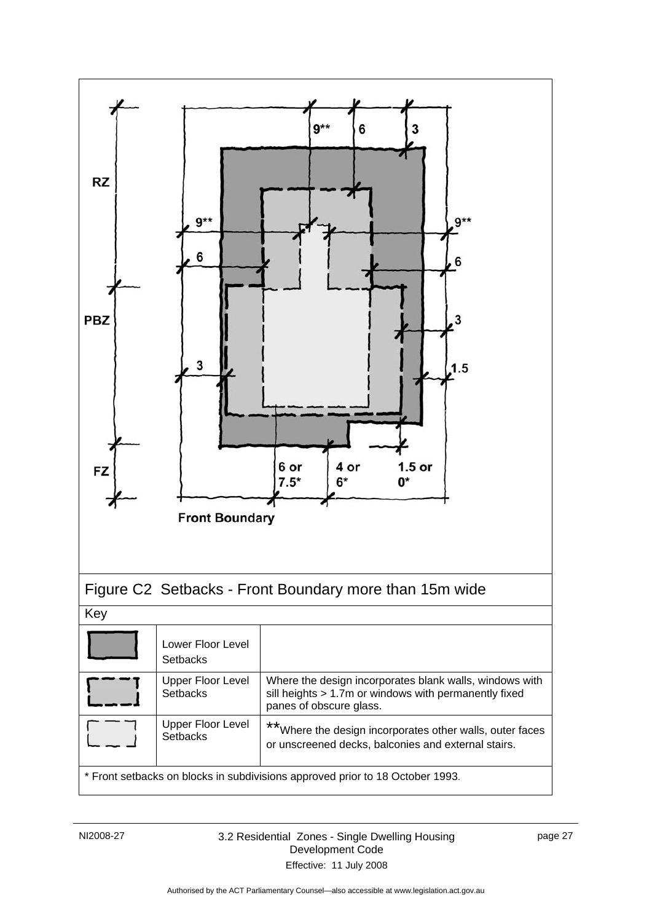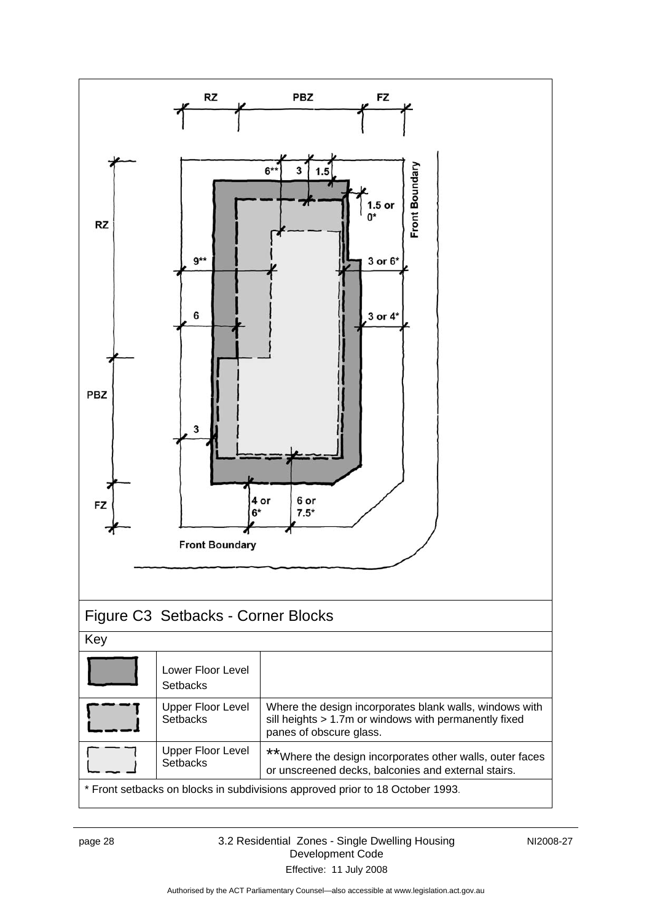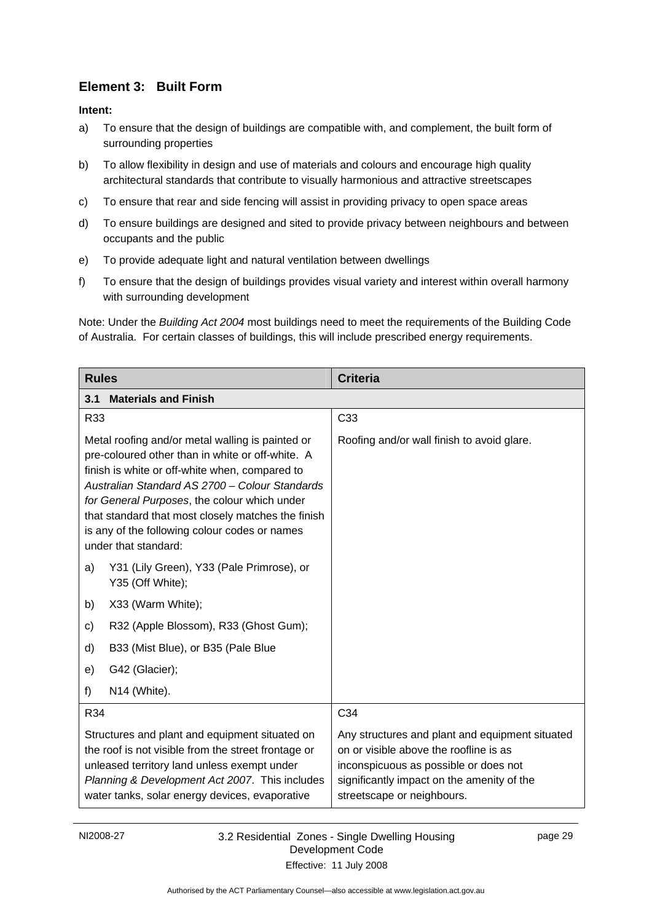# <span id="page-32-0"></span>**Element 3: Built Form**

**Intent:** 

- a) To ensure that the design of buildings are compatible with, and complement, the built form of surrounding properties
- b) To allow flexibility in design and use of materials and colours and encourage high quality architectural standards that contribute to visually harmonious and attractive streetscapes
- c) To ensure that rear and side fencing will assist in providing privacy to open space areas
- d) To ensure buildings are designed and sited to provide privacy between neighbours and between occupants and the public
- e) To provide adequate light and natural ventilation between dwellings
- f) To ensure that the design of buildings provides visual variety and interest within overall harmony with surrounding development

Note: Under the *Building Act 2004* most buildings need to meet the requirements of the Building Code of Australia. For certain classes of buildings, this will include prescribed energy requirements.

| <b>Rules</b>                                                                                                                                                                                                                                                                                                                                                                            | <b>Criteria</b>                                                                                                                                                                                                |  |  |
|-----------------------------------------------------------------------------------------------------------------------------------------------------------------------------------------------------------------------------------------------------------------------------------------------------------------------------------------------------------------------------------------|----------------------------------------------------------------------------------------------------------------------------------------------------------------------------------------------------------------|--|--|
| <b>Materials and Finish</b><br>3.1                                                                                                                                                                                                                                                                                                                                                      |                                                                                                                                                                                                                |  |  |
| R33                                                                                                                                                                                                                                                                                                                                                                                     | C33                                                                                                                                                                                                            |  |  |
| Metal roofing and/or metal walling is painted or<br>pre-coloured other than in white or off-white. A<br>finish is white or off-white when, compared to<br>Australian Standard AS 2700 - Colour Standards<br>for General Purposes, the colour which under<br>that standard that most closely matches the finish<br>is any of the following colour codes or names<br>under that standard: | Roofing and/or wall finish to avoid glare.                                                                                                                                                                     |  |  |
| Y31 (Lily Green), Y33 (Pale Primrose), or<br>a)<br>Y35 (Off White);                                                                                                                                                                                                                                                                                                                     |                                                                                                                                                                                                                |  |  |
| X33 (Warm White);<br>b)                                                                                                                                                                                                                                                                                                                                                                 |                                                                                                                                                                                                                |  |  |
| R32 (Apple Blossom), R33 (Ghost Gum);<br>c)                                                                                                                                                                                                                                                                                                                                             |                                                                                                                                                                                                                |  |  |
| B33 (Mist Blue), or B35 (Pale Blue<br>d)                                                                                                                                                                                                                                                                                                                                                |                                                                                                                                                                                                                |  |  |
| G42 (Glacier);<br>e)                                                                                                                                                                                                                                                                                                                                                                    |                                                                                                                                                                                                                |  |  |
| N14 (White).<br>f)                                                                                                                                                                                                                                                                                                                                                                      |                                                                                                                                                                                                                |  |  |
| R34                                                                                                                                                                                                                                                                                                                                                                                     | C34                                                                                                                                                                                                            |  |  |
| Structures and plant and equipment situated on<br>the roof is not visible from the street frontage or<br>unleased territory land unless exempt under<br>Planning & Development Act 2007. This includes<br>water tanks, solar energy devices, evaporative                                                                                                                                | Any structures and plant and equipment situated<br>on or visible above the roofline is as<br>inconspicuous as possible or does not<br>significantly impact on the amenity of the<br>streetscape or neighbours. |  |  |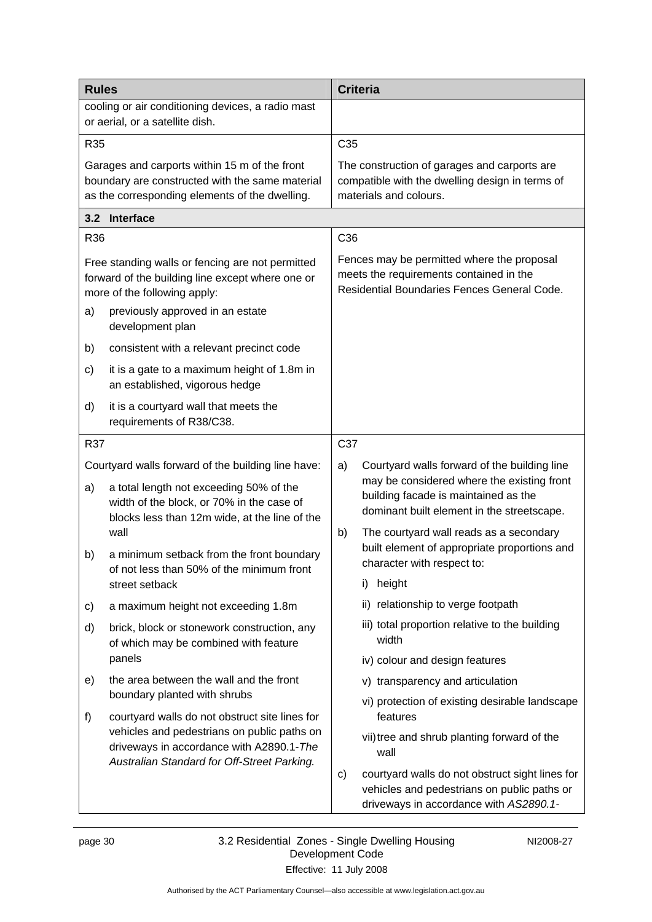<span id="page-33-0"></span>

| <b>Rules</b>                                                                                                                           |                                                                                                                                                    |                 | <b>Criteria</b>                                                                                                                          |
|----------------------------------------------------------------------------------------------------------------------------------------|----------------------------------------------------------------------------------------------------------------------------------------------------|-----------------|------------------------------------------------------------------------------------------------------------------------------------------|
|                                                                                                                                        | cooling or air conditioning devices, a radio mast<br>or aerial, or a satellite dish.                                                               |                 |                                                                                                                                          |
| R35                                                                                                                                    |                                                                                                                                                    | C <sub>35</sub> |                                                                                                                                          |
|                                                                                                                                        | Garages and carports within 15 m of the front<br>boundary are constructed with the same material<br>as the corresponding elements of the dwelling. |                 | The construction of garages and carports are<br>compatible with the dwelling design in terms of<br>materials and colours.                |
|                                                                                                                                        | 3.2 Interface                                                                                                                                      |                 |                                                                                                                                          |
| <b>R36</b>                                                                                                                             |                                                                                                                                                    | C36             |                                                                                                                                          |
|                                                                                                                                        | Free standing walls or fencing are not permitted<br>forward of the building line except where one or<br>more of the following apply:               |                 | Fences may be permitted where the proposal<br>meets the requirements contained in the<br>Residential Boundaries Fences General Code.     |
| a)                                                                                                                                     | previously approved in an estate<br>development plan                                                                                               |                 |                                                                                                                                          |
| b)                                                                                                                                     | consistent with a relevant precinct code                                                                                                           |                 |                                                                                                                                          |
| c)                                                                                                                                     | it is a gate to a maximum height of 1.8m in<br>an established, vigorous hedge                                                                      |                 |                                                                                                                                          |
| d)                                                                                                                                     | it is a courtyard wall that meets the<br>requirements of R38/C38.                                                                                  |                 |                                                                                                                                          |
| R37                                                                                                                                    |                                                                                                                                                    | C37             |                                                                                                                                          |
|                                                                                                                                        | Courtyard walls forward of the building line have:                                                                                                 | a)              | Courtyard walls forward of the building line                                                                                             |
| a)                                                                                                                                     | a total length not exceeding 50% of the<br>width of the block, or 70% in the case of<br>blocks less than 12m wide, at the line of the              |                 | may be considered where the existing front<br>building facade is maintained as the<br>dominant built element in the streetscape.         |
|                                                                                                                                        | wall                                                                                                                                               | b)              | The courtyard wall reads as a secondary                                                                                                  |
| b)                                                                                                                                     | a minimum setback from the front boundary<br>of not less than 50% of the minimum front                                                             |                 | built element of appropriate proportions and<br>character with respect to:                                                               |
|                                                                                                                                        | street setback                                                                                                                                     |                 | height<br>i).                                                                                                                            |
| c)                                                                                                                                     | a maximum height not exceeding 1.8m                                                                                                                |                 | ii) relationship to verge footpath                                                                                                       |
| d)                                                                                                                                     | brick, block or stonework construction, any<br>of which may be combined with feature                                                               |                 | iii) total proportion relative to the building<br>width                                                                                  |
|                                                                                                                                        | panels                                                                                                                                             |                 | iv) colour and design features                                                                                                           |
| e)                                                                                                                                     | the area between the wall and the front<br>boundary planted with shrubs                                                                            |                 | v) transparency and articulation                                                                                                         |
| f)                                                                                                                                     | courtyard walls do not obstruct site lines for                                                                                                     |                 | vi) protection of existing desirable landscape<br>features                                                                               |
| vehicles and pedestrians on public paths on<br>driveways in accordance with A2890.1-The<br>Australian Standard for Off-Street Parking. |                                                                                                                                                    |                 | vii) tree and shrub planting forward of the<br>wall                                                                                      |
|                                                                                                                                        |                                                                                                                                                    | C)              | courtyard walls do not obstruct sight lines for<br>vehicles and pedestrians on public paths or<br>driveways in accordance with AS2890.1- |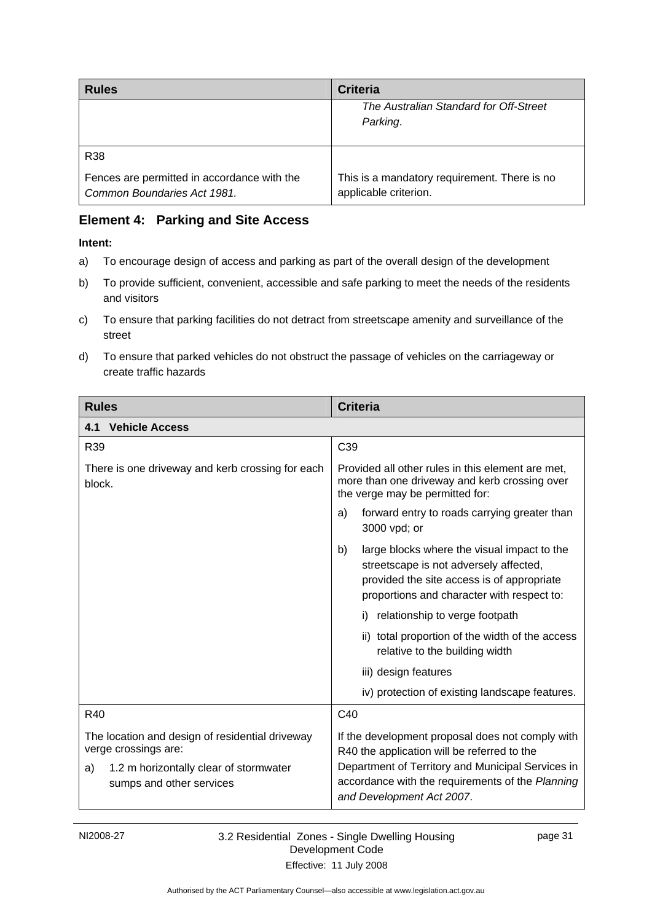<span id="page-34-0"></span>

| <b>Rules</b>                                | <b>Criteria</b>                              |
|---------------------------------------------|----------------------------------------------|
|                                             | The Australian Standard for Off-Street       |
|                                             | Parking.                                     |
|                                             |                                              |
| R <sub>38</sub>                             |                                              |
| Fences are permitted in accordance with the | This is a mandatory requirement. There is no |
| Common Boundaries Act 1981.                 | applicable criterion.                        |

# **Element 4: Parking and Site Access**

- a) To encourage design of access and parking as part of the overall design of the development
- b) To provide sufficient, convenient, accessible and safe parking to meet the needs of the residents and visitors
- c) To ensure that parking facilities do not detract from streetscape amenity and surveillance of the street
- d) To ensure that parked vehicles do not obstruct the passage of vehicles on the carriageway or create traffic hazards

| <b>Rules</b>                                                             | <b>Criteria</b>                                                                                                                                                                         |  |
|--------------------------------------------------------------------------|-----------------------------------------------------------------------------------------------------------------------------------------------------------------------------------------|--|
| <b>Vehicle Access</b><br>4.1                                             |                                                                                                                                                                                         |  |
| R39                                                                      | C39                                                                                                                                                                                     |  |
| There is one driveway and kerb crossing for each<br>block.               | Provided all other rules in this element are met,<br>more than one driveway and kerb crossing over<br>the verge may be permitted for:                                                   |  |
|                                                                          | forward entry to roads carrying greater than<br>a)<br>3000 vpd; or                                                                                                                      |  |
|                                                                          | large blocks where the visual impact to the<br>b)<br>streetscape is not adversely affected,<br>provided the site access is of appropriate<br>proportions and character with respect to: |  |
|                                                                          | i) relationship to verge footpath                                                                                                                                                       |  |
|                                                                          | ii) total proportion of the width of the access<br>relative to the building width                                                                                                       |  |
|                                                                          | iii) design features                                                                                                                                                                    |  |
|                                                                          | iv) protection of existing landscape features.                                                                                                                                          |  |
| <b>R40</b>                                                               | C <sub>40</sub>                                                                                                                                                                         |  |
| The location and design of residential driveway<br>verge crossings are:  | If the development proposal does not comply with<br>R40 the application will be referred to the                                                                                         |  |
| 1.2 m horizontally clear of stormwater<br>a)<br>sumps and other services | Department of Territory and Municipal Services in<br>accordance with the requirements of the Planning<br>and Development Act 2007.                                                      |  |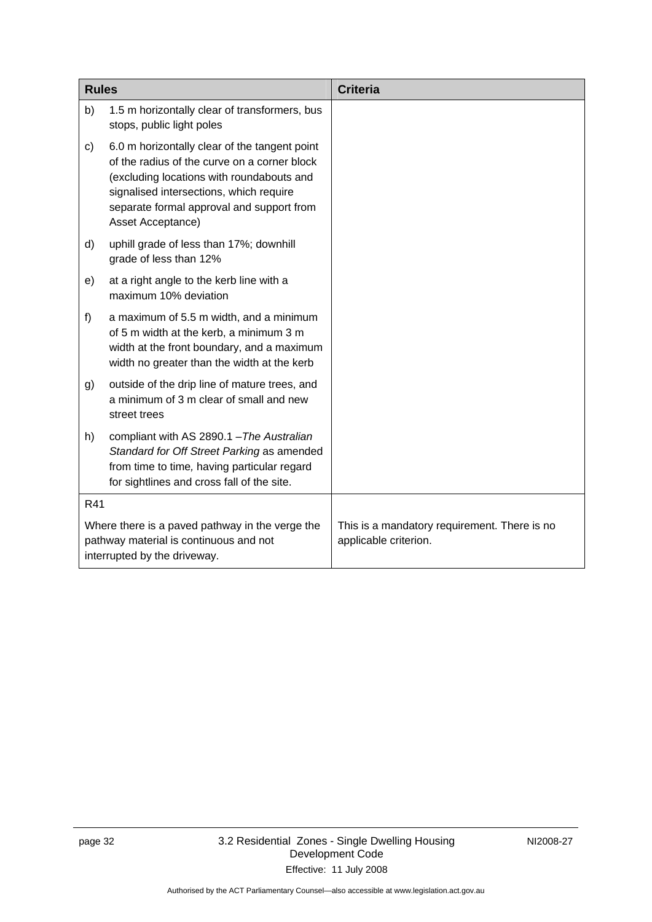| <b>Rules</b>                                                                                                              |                                                                                                                                                                                                                                                         | <b>Criteria</b>                                                       |
|---------------------------------------------------------------------------------------------------------------------------|---------------------------------------------------------------------------------------------------------------------------------------------------------------------------------------------------------------------------------------------------------|-----------------------------------------------------------------------|
| b)                                                                                                                        | 1.5 m horizontally clear of transformers, bus<br>stops, public light poles                                                                                                                                                                              |                                                                       |
| c)                                                                                                                        | 6.0 m horizontally clear of the tangent point<br>of the radius of the curve on a corner block<br>(excluding locations with roundabouts and<br>signalised intersections, which require<br>separate formal approval and support from<br>Asset Acceptance) |                                                                       |
| d)                                                                                                                        | uphill grade of less than 17%; downhill<br>grade of less than 12%                                                                                                                                                                                       |                                                                       |
| e)                                                                                                                        | at a right angle to the kerb line with a<br>maximum 10% deviation                                                                                                                                                                                       |                                                                       |
| f)                                                                                                                        | a maximum of 5.5 m width, and a minimum<br>of 5 m width at the kerb, a minimum 3 m<br>width at the front boundary, and a maximum<br>width no greater than the width at the kerb                                                                         |                                                                       |
| g)                                                                                                                        | outside of the drip line of mature trees, and<br>a minimum of 3 m clear of small and new<br>street trees                                                                                                                                                |                                                                       |
| h)                                                                                                                        | compliant with AS 2890.1 - The Australian<br>Standard for Off Street Parking as amended<br>from time to time, having particular regard<br>for sightlines and cross fall of the site.                                                                    |                                                                       |
| R41                                                                                                                       |                                                                                                                                                                                                                                                         |                                                                       |
| Where there is a paved pathway in the verge the<br>pathway material is continuous and not<br>interrupted by the driveway. |                                                                                                                                                                                                                                                         | This is a mandatory requirement. There is no<br>applicable criterion. |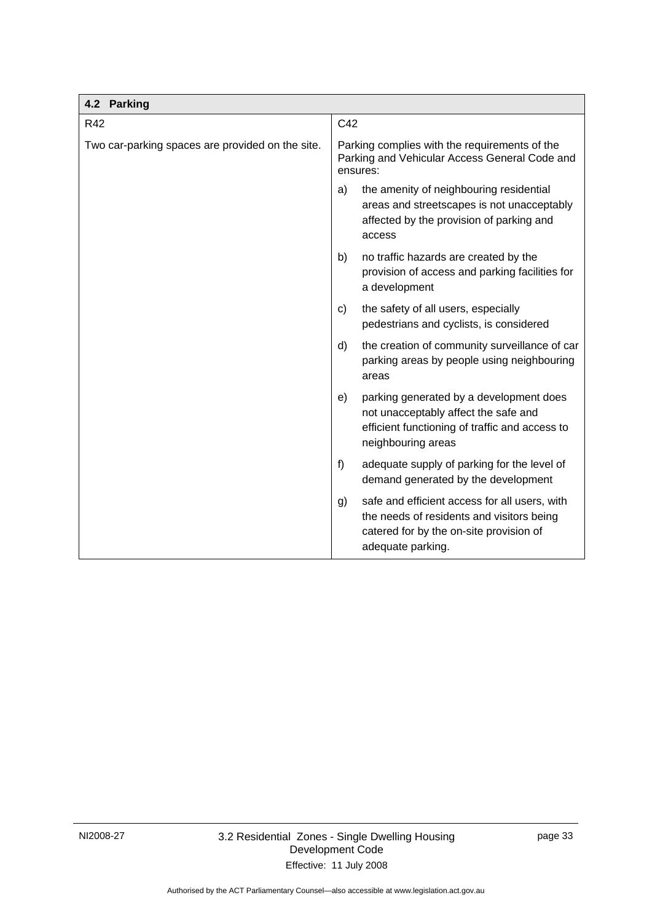<span id="page-36-0"></span>

| 4.2 Parking                                      |                                                                                                                                                                  |  |
|--------------------------------------------------|------------------------------------------------------------------------------------------------------------------------------------------------------------------|--|
| R42                                              | C42                                                                                                                                                              |  |
| Two car-parking spaces are provided on the site. | Parking complies with the requirements of the<br>Parking and Vehicular Access General Code and<br>ensures:                                                       |  |
|                                                  | the amenity of neighbouring residential<br>a)<br>areas and streetscapes is not unacceptably<br>affected by the provision of parking and<br>access                |  |
|                                                  | no traffic hazards are created by the<br>b)<br>provision of access and parking facilities for<br>a development                                                   |  |
|                                                  | the safety of all users, especially<br>C)<br>pedestrians and cyclists, is considered                                                                             |  |
|                                                  | d)<br>the creation of community surveillance of car<br>parking areas by people using neighbouring<br>areas                                                       |  |
|                                                  | parking generated by a development does<br>e)<br>not unacceptably affect the safe and<br>efficient functioning of traffic and access to<br>neighbouring areas    |  |
|                                                  | f<br>adequate supply of parking for the level of<br>demand generated by the development                                                                          |  |
|                                                  | safe and efficient access for all users, with<br>g)<br>the needs of residents and visitors being<br>catered for by the on-site provision of<br>adequate parking. |  |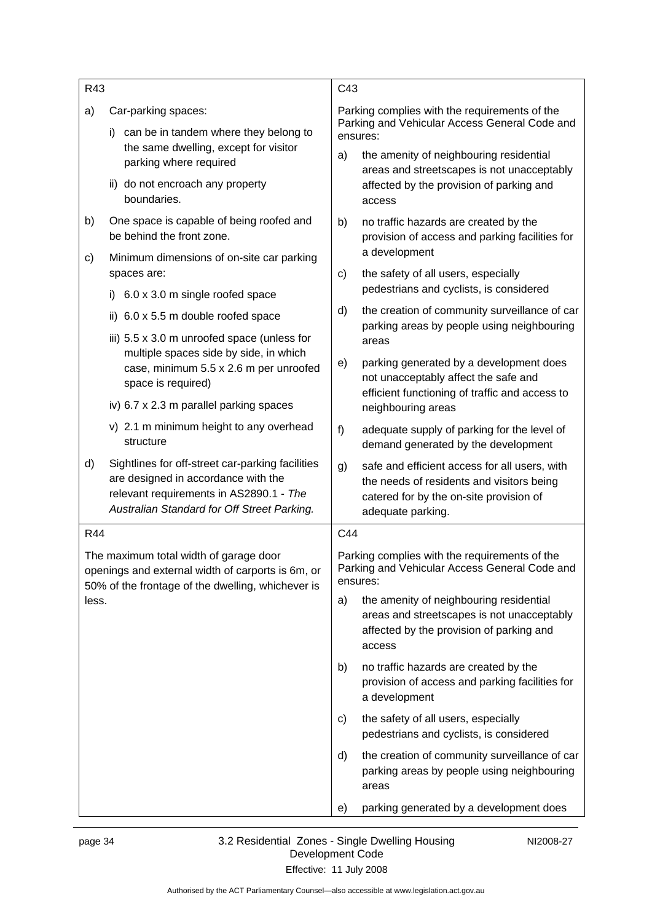| R43                                                                                                                                                       |                                                                                                                                                                                   | C43                                                                                                        |                                                                                                                                                            |
|-----------------------------------------------------------------------------------------------------------------------------------------------------------|-----------------------------------------------------------------------------------------------------------------------------------------------------------------------------------|------------------------------------------------------------------------------------------------------------|------------------------------------------------------------------------------------------------------------------------------------------------------------|
| a)                                                                                                                                                        | Car-parking spaces:<br>can be in tandem where they belong to<br>i)<br>the same dwelling, except for visitor<br>parking where required                                             | Parking complies with the requirements of the<br>Parking and Vehicular Access General Code and<br>ensures: |                                                                                                                                                            |
|                                                                                                                                                           |                                                                                                                                                                                   | a)                                                                                                         | the amenity of neighbouring residential<br>areas and streetscapes is not unacceptably                                                                      |
|                                                                                                                                                           | ii) do not encroach any property<br>boundaries.                                                                                                                                   |                                                                                                            | affected by the provision of parking and<br>access                                                                                                         |
| b)                                                                                                                                                        | One space is capable of being roofed and<br>be behind the front zone.                                                                                                             | b)                                                                                                         | no traffic hazards are created by the<br>provision of access and parking facilities for                                                                    |
| c)                                                                                                                                                        | Minimum dimensions of on-site car parking<br>spaces are:                                                                                                                          | C)                                                                                                         | a development<br>the safety of all users, especially                                                                                                       |
|                                                                                                                                                           | 6.0 x 3.0 m single roofed space<br>i)                                                                                                                                             |                                                                                                            | pedestrians and cyclists, is considered                                                                                                                    |
|                                                                                                                                                           | ii) 6.0 x 5.5 m double roofed space                                                                                                                                               | d)                                                                                                         | the creation of community surveillance of car<br>parking areas by people using neighbouring                                                                |
|                                                                                                                                                           | iii) $5.5 \times 3.0$ m unroofed space (unless for<br>multiple spaces side by side, in which                                                                                      |                                                                                                            | areas                                                                                                                                                      |
|                                                                                                                                                           | case, minimum 5.5 x 2.6 m per unroofed<br>space is required)                                                                                                                      | e)                                                                                                         | parking generated by a development does<br>not unacceptably affect the safe and                                                                            |
|                                                                                                                                                           | iv) 6.7 x 2.3 m parallel parking spaces                                                                                                                                           |                                                                                                            | efficient functioning of traffic and access to<br>neighbouring areas                                                                                       |
|                                                                                                                                                           | v) 2.1 m minimum height to any overhead<br>structure                                                                                                                              | f)                                                                                                         | adequate supply of parking for the level of<br>demand generated by the development                                                                         |
| d)                                                                                                                                                        | Sightlines for off-street car-parking facilities<br>are designed in accordance with the<br>relevant requirements in AS2890.1 - The<br>Australian Standard for Off Street Parking. | g)                                                                                                         | safe and efficient access for all users, with<br>the needs of residents and visitors being<br>catered for by the on-site provision of<br>adequate parking. |
| <b>R44</b>                                                                                                                                                |                                                                                                                                                                                   | C44                                                                                                        |                                                                                                                                                            |
| The maximum total width of garage door<br>openings and external width of carports is 6m, or<br>50% of the frontage of the dwelling, whichever is<br>less. |                                                                                                                                                                                   |                                                                                                            | Parking complies with the requirements of the<br>Parking and Vehicular Access General Code and<br>ensures:                                                 |
|                                                                                                                                                           |                                                                                                                                                                                   | a)                                                                                                         | the amenity of neighbouring residential<br>areas and streetscapes is not unacceptably<br>affected by the provision of parking and<br>access                |
|                                                                                                                                                           |                                                                                                                                                                                   | b)                                                                                                         | no traffic hazards are created by the<br>provision of access and parking facilities for<br>a development                                                   |
|                                                                                                                                                           |                                                                                                                                                                                   | C)                                                                                                         | the safety of all users, especially<br>pedestrians and cyclists, is considered                                                                             |
|                                                                                                                                                           |                                                                                                                                                                                   | d)                                                                                                         | the creation of community surveillance of car<br>parking areas by people using neighbouring<br>areas                                                       |
|                                                                                                                                                           |                                                                                                                                                                                   | e)                                                                                                         | parking generated by a development does                                                                                                                    |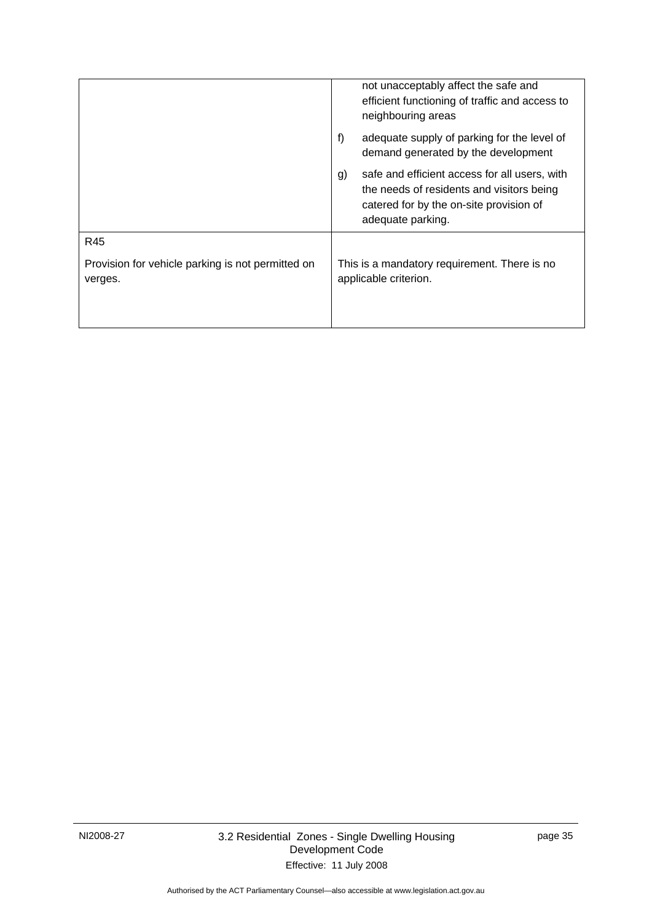|                                                                     | not unacceptably affect the safe and<br>efficient functioning of traffic and access to<br>neighbouring areas                                                     |
|---------------------------------------------------------------------|------------------------------------------------------------------------------------------------------------------------------------------------------------------|
|                                                                     | adequate supply of parking for the level of<br>f)<br>demand generated by the development                                                                         |
|                                                                     | safe and efficient access for all users, with<br>g)<br>the needs of residents and visitors being<br>catered for by the on-site provision of<br>adequate parking. |
| R45<br>Provision for vehicle parking is not permitted on<br>verges. | This is a mandatory requirement. There is no<br>applicable criterion.                                                                                            |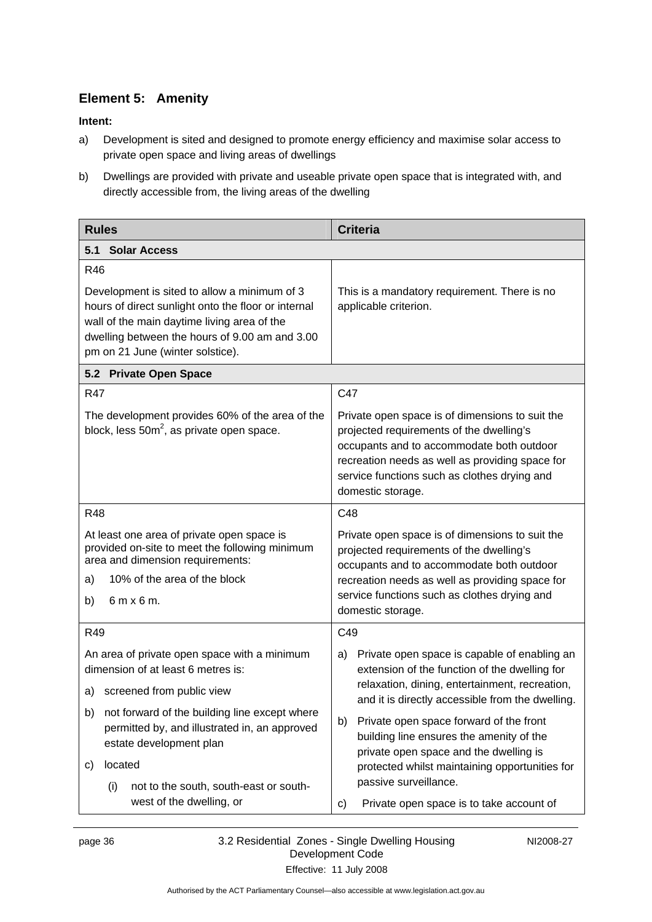# <span id="page-39-0"></span>**Element 5: Amenity**

- a) Development is sited and designed to promote energy efficiency and maximise solar access to private open space and living areas of dwellings
- b) Dwellings are provided with private and useable private open space that is integrated with, and directly accessible from, the living areas of the dwelling

| <b>Rules</b>                                                                                                                                              | <b>Criteria</b>                                                                                                                                                                                                                                                  |  |
|-----------------------------------------------------------------------------------------------------------------------------------------------------------|------------------------------------------------------------------------------------------------------------------------------------------------------------------------------------------------------------------------------------------------------------------|--|
| <b>Solar Access</b><br>5.1                                                                                                                                |                                                                                                                                                                                                                                                                  |  |
| R46<br>Development is sited to allow a minimum of 3<br>hours of direct sunlight onto the floor or internal<br>wall of the main daytime living area of the | This is a mandatory requirement. There is no<br>applicable criterion.                                                                                                                                                                                            |  |
| dwelling between the hours of 9.00 am and 3.00<br>pm on 21 June (winter solstice).                                                                        |                                                                                                                                                                                                                                                                  |  |
| 5.2 Private Open Space                                                                                                                                    |                                                                                                                                                                                                                                                                  |  |
| <b>R47</b>                                                                                                                                                | C47                                                                                                                                                                                                                                                              |  |
| The development provides 60% of the area of the<br>block, less $50m^2$ , as private open space.                                                           | Private open space is of dimensions to suit the<br>projected requirements of the dwelling's<br>occupants and to accommodate both outdoor<br>recreation needs as well as providing space for<br>service functions such as clothes drying and<br>domestic storage. |  |
| <b>R48</b>                                                                                                                                                | C48                                                                                                                                                                                                                                                              |  |
| At least one area of private open space is<br>provided on-site to meet the following minimum<br>area and dimension requirements:                          | Private open space is of dimensions to suit the<br>projected requirements of the dwelling's<br>occupants and to accommodate both outdoor                                                                                                                         |  |
| 10% of the area of the block<br>a)                                                                                                                        | recreation needs as well as providing space for                                                                                                                                                                                                                  |  |
| b)<br>$6m \times 6m$ .                                                                                                                                    | service functions such as clothes drying and<br>domestic storage.                                                                                                                                                                                                |  |
| R49                                                                                                                                                       | C49                                                                                                                                                                                                                                                              |  |
| An area of private open space with a minimum<br>dimension of at least 6 metres is:                                                                        | Private open space is capable of enabling an<br>a)<br>extension of the function of the dwelling for                                                                                                                                                              |  |
| screened from public view<br>a)                                                                                                                           | relaxation, dining, entertainment, recreation,<br>and it is directly accessible from the dwelling.                                                                                                                                                               |  |
| not forward of the building line except where<br>b)<br>permitted by, and illustrated in, an approved<br>estate development plan                           | Private open space forward of the front<br>b)<br>building line ensures the amenity of the<br>private open space and the dwelling is                                                                                                                              |  |
| located<br>C)                                                                                                                                             | protected whilst maintaining opportunities for                                                                                                                                                                                                                   |  |
| not to the south, south-east or south-<br>(i)<br>west of the dwelling, or                                                                                 | passive surveillance.<br>Private open space is to take account of<br>C)                                                                                                                                                                                          |  |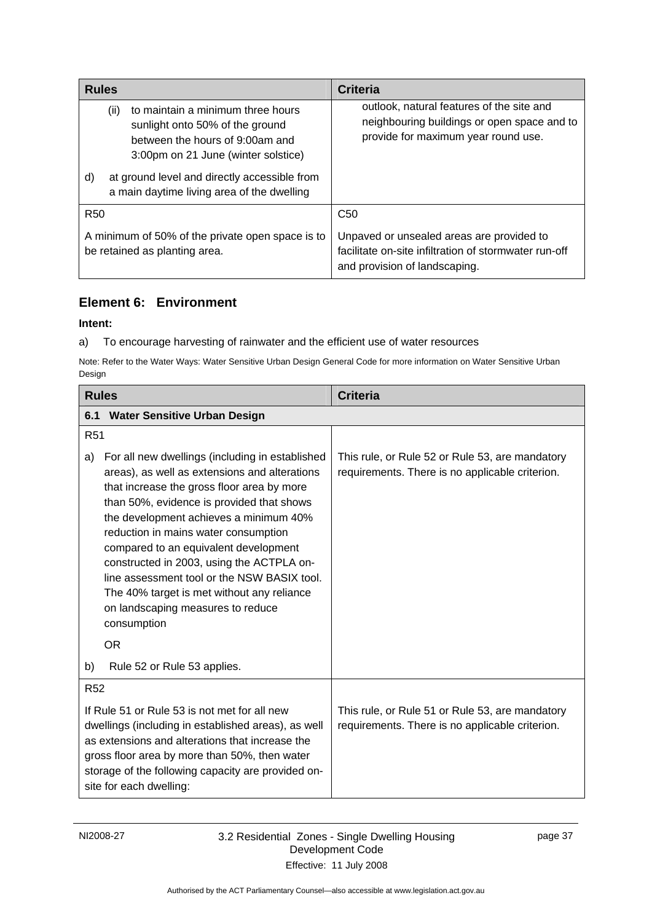<span id="page-40-0"></span>

| <b>Rules</b>                                                                                                                                                                                                                                               | <b>Criteria</b>                                                                                                                     |
|------------------------------------------------------------------------------------------------------------------------------------------------------------------------------------------------------------------------------------------------------------|-------------------------------------------------------------------------------------------------------------------------------------|
| (ii)<br>to maintain a minimum three hours<br>sunlight onto 50% of the ground<br>between the hours of 9:00am and<br>3:00pm on 21 June (winter solstice)<br>at ground level and directly accessible from<br>d)<br>a main daytime living area of the dwelling | outlook, natural features of the site and<br>neighbouring buildings or open space and to<br>provide for maximum year round use.     |
| <b>R50</b>                                                                                                                                                                                                                                                 | C <sub>50</sub>                                                                                                                     |
| A minimum of 50% of the private open space is to<br>be retained as planting area.                                                                                                                                                                          | Unpaved or unsealed areas are provided to<br>facilitate on-site infiltration of stormwater run-off<br>and provision of landscaping. |

# **Element 6: Environment**

### **Intent:**

a) To encourage harvesting of rainwater and the efficient use of water resources

Note: Refer to the Water Ways: Water Sensitive Urban Design General Code for more information on Water Sensitive Urban Design

| <b>Rules</b>                                                                                                                                                                                                                                                                             |                                                                                                                                                                                                                                                                                                                                                                                                                                                                                                                      | <b>Criteria</b>                                                                                    |
|------------------------------------------------------------------------------------------------------------------------------------------------------------------------------------------------------------------------------------------------------------------------------------------|----------------------------------------------------------------------------------------------------------------------------------------------------------------------------------------------------------------------------------------------------------------------------------------------------------------------------------------------------------------------------------------------------------------------------------------------------------------------------------------------------------------------|----------------------------------------------------------------------------------------------------|
| 6.1                                                                                                                                                                                                                                                                                      | <b>Water Sensitive Urban Design</b>                                                                                                                                                                                                                                                                                                                                                                                                                                                                                  |                                                                                                    |
| R <sub>51</sub>                                                                                                                                                                                                                                                                          |                                                                                                                                                                                                                                                                                                                                                                                                                                                                                                                      |                                                                                                    |
| a)                                                                                                                                                                                                                                                                                       | For all new dwellings (including in established<br>areas), as well as extensions and alterations<br>that increase the gross floor area by more<br>than 50%, evidence is provided that shows<br>the development achieves a minimum 40%<br>reduction in mains water consumption<br>compared to an equivalent development<br>constructed in 2003, using the ACTPLA on-<br>line assessment tool or the NSW BASIX tool.<br>The 40% target is met without any reliance<br>on landscaping measures to reduce<br>consumption | This rule, or Rule 52 or Rule 53, are mandatory<br>requirements. There is no applicable criterion. |
|                                                                                                                                                                                                                                                                                          | <b>OR</b>                                                                                                                                                                                                                                                                                                                                                                                                                                                                                                            |                                                                                                    |
| b)                                                                                                                                                                                                                                                                                       | Rule 52 or Rule 53 applies.                                                                                                                                                                                                                                                                                                                                                                                                                                                                                          |                                                                                                    |
| <b>R52</b>                                                                                                                                                                                                                                                                               |                                                                                                                                                                                                                                                                                                                                                                                                                                                                                                                      |                                                                                                    |
| If Rule 51 or Rule 53 is not met for all new<br>dwellings (including in established areas), as well<br>as extensions and alterations that increase the<br>gross floor area by more than 50%, then water<br>storage of the following capacity are provided on-<br>site for each dwelling: |                                                                                                                                                                                                                                                                                                                                                                                                                                                                                                                      | This rule, or Rule 51 or Rule 53, are mandatory<br>requirements. There is no applicable criterion. |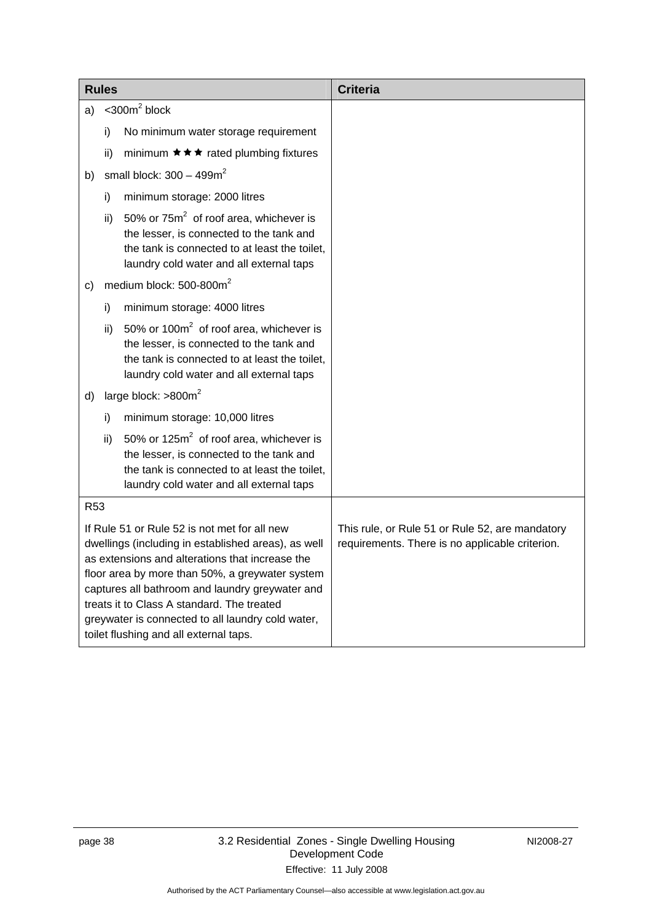| <b>Rules</b>                                                                                                                                                                                                                                                                                                                                                                                              |               |                                                                                                                                                                                     | <b>Criteria</b>                                                                                    |
|-----------------------------------------------------------------------------------------------------------------------------------------------------------------------------------------------------------------------------------------------------------------------------------------------------------------------------------------------------------------------------------------------------------|---------------|-------------------------------------------------------------------------------------------------------------------------------------------------------------------------------------|----------------------------------------------------------------------------------------------------|
| a)                                                                                                                                                                                                                                                                                                                                                                                                        |               | $<$ 300 $m2$ block                                                                                                                                                                  |                                                                                                    |
|                                                                                                                                                                                                                                                                                                                                                                                                           | i)            | No minimum water storage requirement                                                                                                                                                |                                                                                                    |
|                                                                                                                                                                                                                                                                                                                                                                                                           | ii)           | minimum $\star \star \star$ rated plumbing fixtures                                                                                                                                 |                                                                                                    |
| b)                                                                                                                                                                                                                                                                                                                                                                                                        |               | small block: $300 - 499m^2$                                                                                                                                                         |                                                                                                    |
|                                                                                                                                                                                                                                                                                                                                                                                                           | i)            | minimum storage: 2000 litres                                                                                                                                                        |                                                                                                    |
|                                                                                                                                                                                                                                                                                                                                                                                                           | ii)           | 50% or $75m^2$ of roof area, whichever is<br>the lesser, is connected to the tank and<br>the tank is connected to at least the toilet,<br>laundry cold water and all external taps  |                                                                                                    |
| C)                                                                                                                                                                                                                                                                                                                                                                                                        |               | medium block: 500-800m <sup>2</sup>                                                                                                                                                 |                                                                                                    |
|                                                                                                                                                                                                                                                                                                                                                                                                           | i)            | minimum storage: 4000 litres                                                                                                                                                        |                                                                                                    |
|                                                                                                                                                                                                                                                                                                                                                                                                           | $\mathsf{ii}$ | 50% or $100m^2$ of roof area, whichever is<br>the lesser, is connected to the tank and<br>the tank is connected to at least the toilet,<br>laundry cold water and all external taps |                                                                                                    |
| d)                                                                                                                                                                                                                                                                                                                                                                                                        |               | large block: >800m <sup>2</sup>                                                                                                                                                     |                                                                                                    |
|                                                                                                                                                                                                                                                                                                                                                                                                           | i)            | minimum storage: 10,000 litres                                                                                                                                                      |                                                                                                    |
|                                                                                                                                                                                                                                                                                                                                                                                                           | ii)           | 50% or $125m^2$ of roof area, whichever is<br>the lesser, is connected to the tank and<br>the tank is connected to at least the toilet,<br>laundry cold water and all external taps |                                                                                                    |
| <b>R53</b>                                                                                                                                                                                                                                                                                                                                                                                                |               |                                                                                                                                                                                     |                                                                                                    |
| If Rule 51 or Rule 52 is not met for all new<br>dwellings (including in established areas), as well<br>as extensions and alterations that increase the<br>floor area by more than 50%, a greywater system<br>captures all bathroom and laundry greywater and<br>treats it to Class A standard. The treated<br>greywater is connected to all laundry cold water,<br>toilet flushing and all external taps. |               |                                                                                                                                                                                     | This rule, or Rule 51 or Rule 52, are mandatory<br>requirements. There is no applicable criterion. |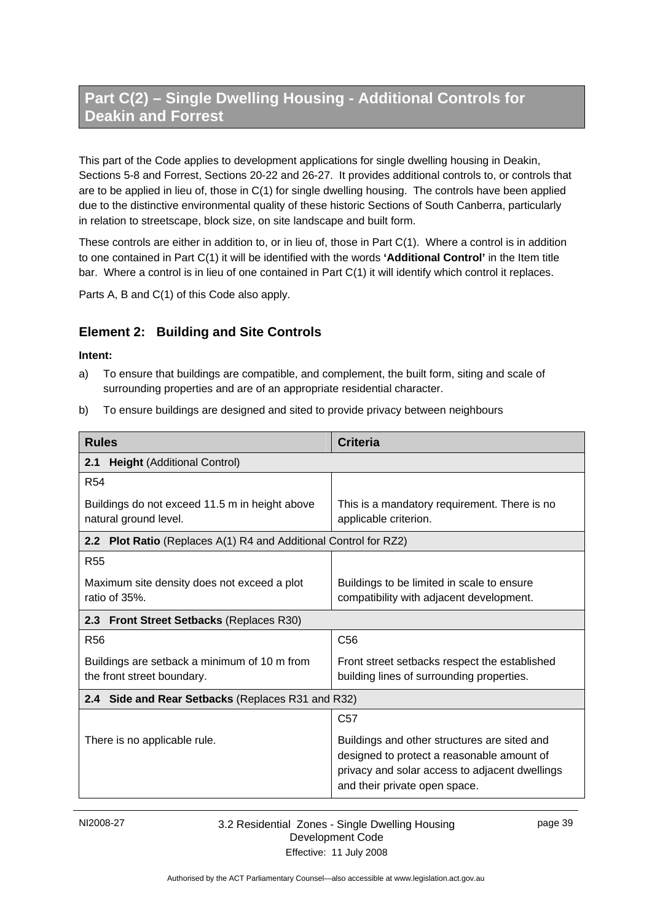# <span id="page-42-0"></span>**Part C(2) – Single Dwelling Housing - Additional Controls for Deakin and Forrest**

This part of the Code applies to development applications for single dwelling housing in Deakin, Sections 5-8 and Forrest, Sections 20-22 and 26-27. It provides additional controls to, or controls that are to be applied in lieu of, those in C(1) for single dwelling housing. The controls have been applied due to the distinctive environmental quality of these historic Sections of South Canberra, particularly in relation to streetscape, block size, on site landscape and built form.

These controls are either in addition to, or in lieu of, those in Part C(1). Where a control is in addition to one contained in Part C(1) it will be identified with the words **'Additional Control'** in the Item title bar. Where a control is in lieu of one contained in Part C(1) it will identify which control it replaces.

Parts A, B and C(1) of this Code also apply.

### **Element 2: Building and Site Controls**

#### **Intent:**

- a) To ensure that buildings are compatible, and complement, the built form, siting and scale of surrounding properties and are of an appropriate residential character.
- b) To ensure buildings are designed and sited to provide privacy between neighbours

| <b>Rules</b>                                                               | <b>Criteria</b>                                                                                                                                                               |  |
|----------------------------------------------------------------------------|-------------------------------------------------------------------------------------------------------------------------------------------------------------------------------|--|
| <b>Height (Additional Control)</b><br>2.1                                  |                                                                                                                                                                               |  |
| <b>R54</b>                                                                 |                                                                                                                                                                               |  |
| Buildings do not exceed 11.5 m in height above<br>natural ground level.    | This is a mandatory requirement. There is no<br>applicable criterion.                                                                                                         |  |
| 2.2 Plot Ratio (Replaces A(1) R4 and Additional Control for RZ2)           |                                                                                                                                                                               |  |
| <b>R55</b>                                                                 |                                                                                                                                                                               |  |
| Maximum site density does not exceed a plot<br>ratio of 35%.               | Buildings to be limited in scale to ensure<br>compatibility with adjacent development.                                                                                        |  |
| 2.3 Front Street Setbacks (Replaces R30)                                   |                                                                                                                                                                               |  |
| <b>R56</b>                                                                 | C <sub>56</sub>                                                                                                                                                               |  |
| Buildings are setback a minimum of 10 m from<br>the front street boundary. | Front street setbacks respect the established<br>building lines of surrounding properties.                                                                                    |  |
| 2.4 Side and Rear Setbacks (Replaces R31 and R32)                          |                                                                                                                                                                               |  |
|                                                                            | C <sub>57</sub>                                                                                                                                                               |  |
| There is no applicable rule.                                               | Buildings and other structures are sited and<br>designed to protect a reasonable amount of<br>privacy and solar access to adjacent dwellings<br>and their private open space. |  |

#### NI2008-27 3.2 Residential Zones - Single Dwelling Housing Development Code Effective: 11 July 2008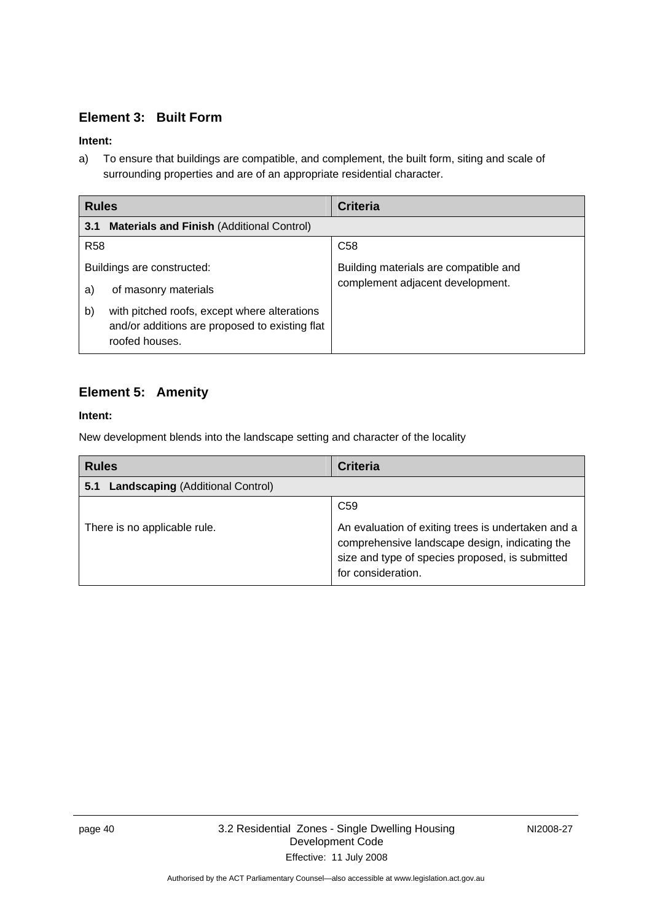### <span id="page-43-0"></span>**Element 3: Built Form**

### **Intent:**

a) To ensure that buildings are compatible, and complement, the built form, siting and scale of surrounding properties and are of an appropriate residential character.

| <b>Rules</b>                                                                                                           | <b>Criteria</b>                       |
|------------------------------------------------------------------------------------------------------------------------|---------------------------------------|
| <b>Materials and Finish (Additional Control)</b><br>3.1                                                                |                                       |
| <b>R58</b>                                                                                                             | C <sub>58</sub>                       |
| Buildings are constructed:                                                                                             | Building materials are compatible and |
| of masonry materials<br>a)                                                                                             | complement adjacent development.      |
| with pitched roofs, except where alterations<br>b)<br>and/or additions are proposed to existing flat<br>roofed houses. |                                       |

# **Element 5: Amenity**

### **Intent:**

New development blends into the landscape setting and character of the locality

| <b>Rules</b>                                   | <b>Criteria</b>                                                                                                                                                                                  |
|------------------------------------------------|--------------------------------------------------------------------------------------------------------------------------------------------------------------------------------------------------|
| <b>Landscaping (Additional Control)</b><br>5.1 |                                                                                                                                                                                                  |
| There is no applicable rule.                   | C <sub>59</sub><br>An evaluation of exiting trees is undertaken and a<br>comprehensive landscape design, indicating the<br>size and type of species proposed, is submitted<br>for consideration. |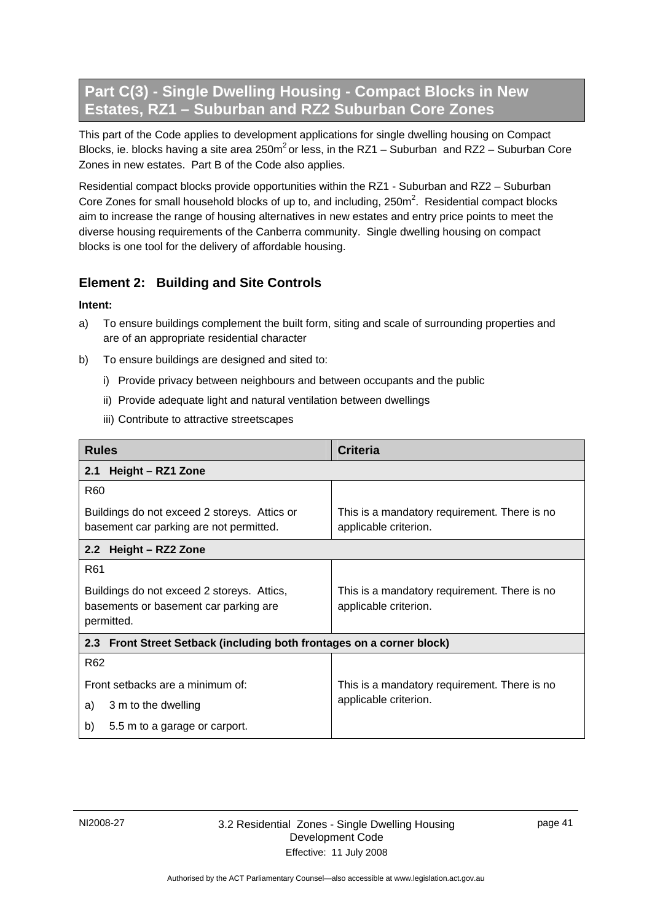# <span id="page-44-0"></span>**Part C(3) - Single Dwelling Housing - Compact Blocks in New Estates, RZ1 – Suburban and RZ2 Suburban Core Zones**

This part of the Code applies to development applications for single dwelling housing on Compact Blocks, ie. blocks having a site area 250 $m^2$  or less, in the RZ1 – Suburban and RZ2 – Suburban Core Zones in new estates. Part B of the Code also applies.

Residential compact blocks provide opportunities within the RZ1 - Suburban and RZ2 – Suburban Core Zones for small household blocks of up to, and including,  $250m^2$ . Residential compact blocks aim to increase the range of housing alternatives in new estates and entry price points to meet the diverse housing requirements of the Canberra community. Single dwelling housing on compact blocks is one tool for the delivery of affordable housing.

# **Element 2: Building and Site Controls**

- a) To ensure buildings complement the built form, siting and scale of surrounding properties and are of an appropriate residential character
- b) To ensure buildings are designed and sited to:
	- i) Provide privacy between neighbours and between occupants and the public
	- ii) Provide adequate light and natural ventilation between dwellings
	- iii) Contribute to attractive streetscapes

| <b>Rules</b>                                                                                      | <b>Criteria</b>                                                       |
|---------------------------------------------------------------------------------------------------|-----------------------------------------------------------------------|
| Height - RZ1 Zone<br>2.1                                                                          |                                                                       |
| R <sub>60</sub>                                                                                   |                                                                       |
| Buildings do not exceed 2 storeys. Attics or<br>basement car parking are not permitted.           | This is a mandatory requirement. There is no<br>applicable criterion. |
| Height - RZ2 Zone<br>2.2                                                                          |                                                                       |
| R <sub>61</sub>                                                                                   |                                                                       |
| Buildings do not exceed 2 storeys. Attics,<br>basements or basement car parking are<br>permitted. | This is a mandatory requirement. There is no<br>applicable criterion. |
| 2.3 Front Street Setback (including both frontages on a corner block)                             |                                                                       |
| R <sub>62</sub>                                                                                   |                                                                       |
| Front setbacks are a minimum of:                                                                  | This is a mandatory requirement. There is no                          |
| 3 m to the dwelling<br>a)                                                                         | applicable criterion.                                                 |
| b)<br>5.5 m to a garage or carport.                                                               |                                                                       |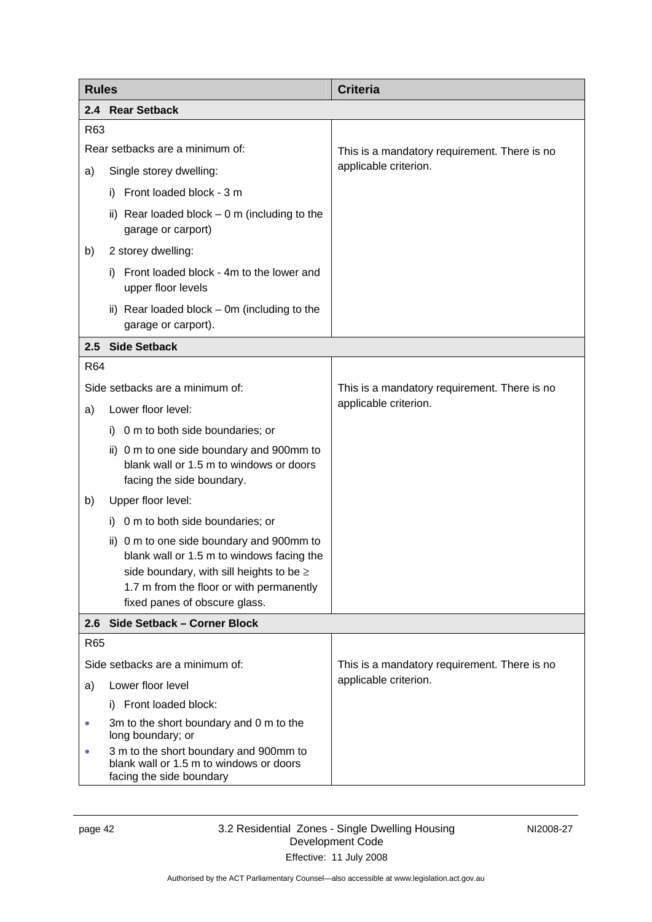<span id="page-45-0"></span>

| <b>Rules</b>                    |                                                                                                                                                                                                                 | <b>Criteria</b>                              |  |
|---------------------------------|-----------------------------------------------------------------------------------------------------------------------------------------------------------------------------------------------------------------|----------------------------------------------|--|
|                                 | 2.4 Rear Setback                                                                                                                                                                                                |                                              |  |
| R63                             |                                                                                                                                                                                                                 |                                              |  |
| Rear setbacks are a minimum of: |                                                                                                                                                                                                                 | This is a mandatory requirement. There is no |  |
| a)                              | Single storey dwelling:                                                                                                                                                                                         | applicable criterion.                        |  |
|                                 | Front loaded block - 3 m<br>i).                                                                                                                                                                                 |                                              |  |
|                                 | ii) Rear loaded block $-0$ m (including to the<br>garage or carport)                                                                                                                                            |                                              |  |
| b)                              | 2 storey dwelling:                                                                                                                                                                                              |                                              |  |
|                                 | Front loaded block - 4m to the lower and<br>i).<br>upper floor levels                                                                                                                                           |                                              |  |
|                                 | ii) Rear loaded block - 0m (including to the<br>garage or carport).                                                                                                                                             |                                              |  |
|                                 | 2.5 Side Setback                                                                                                                                                                                                |                                              |  |
| R <sub>64</sub>                 |                                                                                                                                                                                                                 |                                              |  |
|                                 | Side setbacks are a minimum of:                                                                                                                                                                                 | This is a mandatory requirement. There is no |  |
| a)                              | Lower floor level:                                                                                                                                                                                              | applicable criterion.                        |  |
|                                 | i) 0 m to both side boundaries; or                                                                                                                                                                              |                                              |  |
|                                 | ii) 0 m to one side boundary and 900mm to<br>blank wall or 1.5 m to windows or doors<br>facing the side boundary.                                                                                               |                                              |  |
| b)                              | Upper floor level:                                                                                                                                                                                              |                                              |  |
|                                 | i) 0 m to both side boundaries; or                                                                                                                                                                              |                                              |  |
|                                 | ii) 0 m to one side boundary and 900mm to<br>blank wall or 1.5 m to windows facing the<br>side boundary, with sill heights to be ≥<br>1.7 m from the floor or with permanently<br>fixed panes of obscure glass. |                                              |  |
| 2.6                             | Side Setback - Corner Block                                                                                                                                                                                     |                                              |  |
| R65                             |                                                                                                                                                                                                                 |                                              |  |
|                                 | Side setbacks are a minimum of:                                                                                                                                                                                 | This is a mandatory requirement. There is no |  |
| a)                              | Lower floor level                                                                                                                                                                                               | applicable criterion.                        |  |
|                                 | Front loaded block:<br>i)                                                                                                                                                                                       |                                              |  |
| $\bullet$                       | 3m to the short boundary and 0 m to the<br>long boundary; or                                                                                                                                                    |                                              |  |
| 0                               | 3 m to the short boundary and 900mm to<br>blank wall or 1.5 m to windows or doors<br>facing the side boundary                                                                                                   |                                              |  |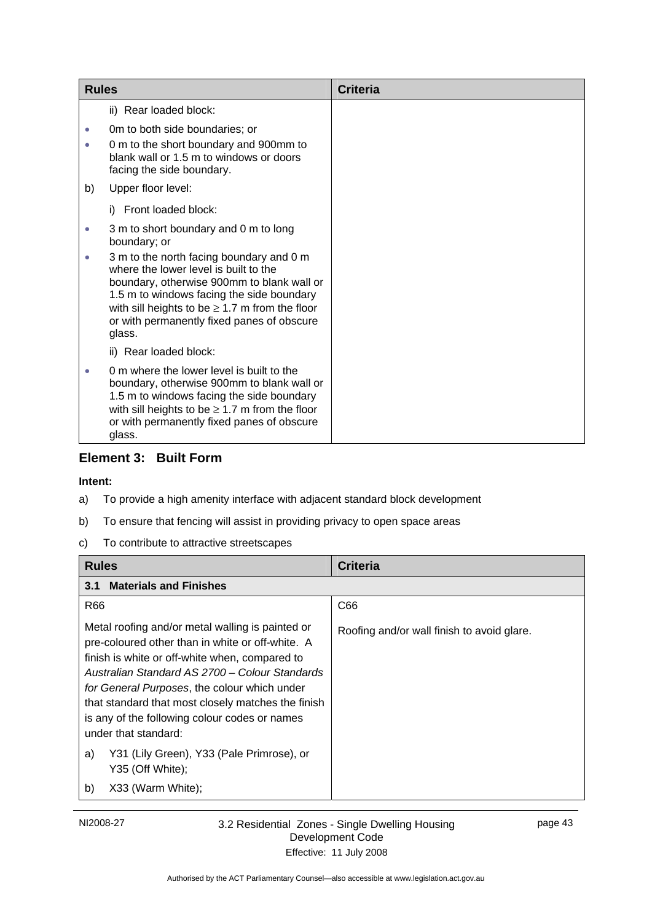<span id="page-46-0"></span>

| <b>Rules</b> |                                                                                                                                                                                                                                                                                             | <b>Criteria</b> |
|--------------|---------------------------------------------------------------------------------------------------------------------------------------------------------------------------------------------------------------------------------------------------------------------------------------------|-----------------|
|              | ii) Rear loaded block:                                                                                                                                                                                                                                                                      |                 |
| $\bullet$    | Om to both side boundaries; or                                                                                                                                                                                                                                                              |                 |
|              | 0 m to the short boundary and 900mm to<br>blank wall or 1.5 m to windows or doors<br>facing the side boundary.                                                                                                                                                                              |                 |
| b)           | Upper floor level:                                                                                                                                                                                                                                                                          |                 |
|              | i) Front loaded block:                                                                                                                                                                                                                                                                      |                 |
| $\bullet$    | 3 m to short boundary and 0 m to long<br>boundary; or                                                                                                                                                                                                                                       |                 |
| $\bullet$    | 3 m to the north facing boundary and 0 m<br>where the lower level is built to the<br>boundary, otherwise 900mm to blank wall or<br>1.5 m to windows facing the side boundary<br>with sill heights to be $\geq 1.7$ m from the floor<br>or with permanently fixed panes of obscure<br>glass. |                 |
|              | ii) Rear loaded block:                                                                                                                                                                                                                                                                      |                 |
|              | 0 m where the lower level is built to the<br>boundary, otherwise 900mm to blank wall or<br>1.5 m to windows facing the side boundary<br>with sill heights to be $\geq 1.7$ m from the floor<br>or with permanently fixed panes of obscure<br>glass.                                         |                 |

### **Element 3: Built Form**

- a) To provide a high amenity interface with adjacent standard block development
- b) To ensure that fencing will assist in providing privacy to open space areas
- c) To contribute to attractive streetscapes

| <b>Rules</b>                                                                                                                                                                                                                                                                                                                                                                            | <b>Criteria</b>                            |
|-----------------------------------------------------------------------------------------------------------------------------------------------------------------------------------------------------------------------------------------------------------------------------------------------------------------------------------------------------------------------------------------|--------------------------------------------|
| <b>Materials and Finishes</b><br>3.1                                                                                                                                                                                                                                                                                                                                                    |                                            |
| R66                                                                                                                                                                                                                                                                                                                                                                                     | C66                                        |
| Metal roofing and/or metal walling is painted or<br>pre-coloured other than in white or off-white. A<br>finish is white or off-white when, compared to<br>Australian Standard AS 2700 - Colour Standards<br>for General Purposes, the colour which under<br>that standard that most closely matches the finish<br>is any of the following colour codes or names<br>under that standard: | Roofing and/or wall finish to avoid glare. |
| Y31 (Lily Green), Y33 (Pale Primrose), or<br>a)<br>Y35 (Off White);                                                                                                                                                                                                                                                                                                                     |                                            |
| b)<br>X33 (Warm White);                                                                                                                                                                                                                                                                                                                                                                 |                                            |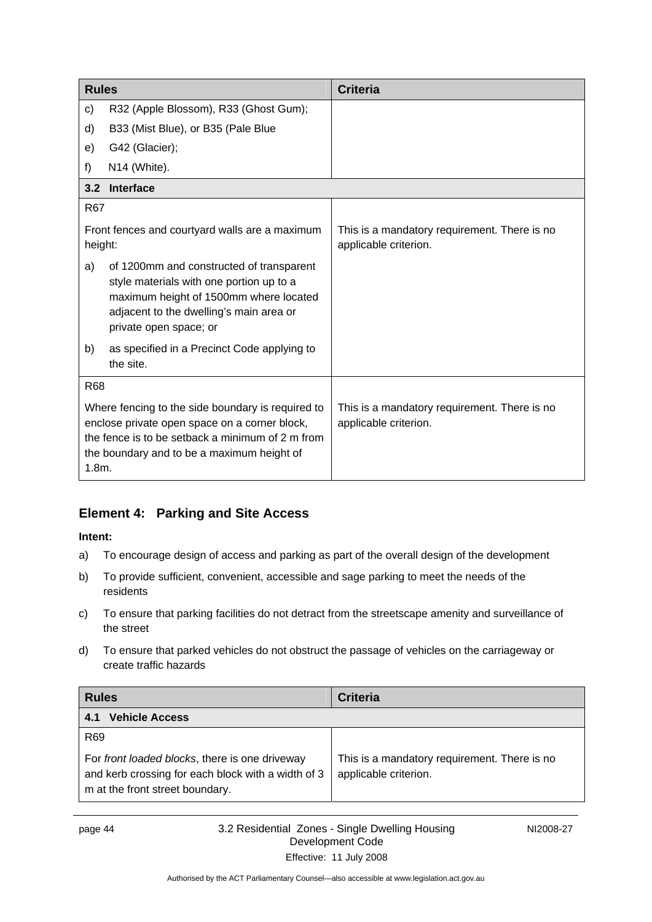<span id="page-47-0"></span>

| <b>Rules</b>                                                                                                                                                                                                     |                                                                                                                                                                                                     | <b>Criteria</b>                                                       |
|------------------------------------------------------------------------------------------------------------------------------------------------------------------------------------------------------------------|-----------------------------------------------------------------------------------------------------------------------------------------------------------------------------------------------------|-----------------------------------------------------------------------|
| c)                                                                                                                                                                                                               | R32 (Apple Blossom), R33 (Ghost Gum);                                                                                                                                                               |                                                                       |
| d)                                                                                                                                                                                                               | B33 (Mist Blue), or B35 (Pale Blue                                                                                                                                                                  |                                                                       |
| e)                                                                                                                                                                                                               | G42 (Glacier);                                                                                                                                                                                      |                                                                       |
| f)                                                                                                                                                                                                               | N14 (White).                                                                                                                                                                                        |                                                                       |
|                                                                                                                                                                                                                  | 3.2 Interface                                                                                                                                                                                       |                                                                       |
| R67                                                                                                                                                                                                              |                                                                                                                                                                                                     |                                                                       |
| Front fences and courtyard walls are a maximum<br>height:                                                                                                                                                        |                                                                                                                                                                                                     | This is a mandatory requirement. There is no<br>applicable criterion. |
| a)                                                                                                                                                                                                               | of 1200mm and constructed of transparent<br>style materials with one portion up to a<br>maximum height of 1500mm where located<br>adjacent to the dwelling's main area or<br>private open space; or |                                                                       |
| b)                                                                                                                                                                                                               | as specified in a Precinct Code applying to<br>the site.                                                                                                                                            |                                                                       |
| <b>R68</b>                                                                                                                                                                                                       |                                                                                                                                                                                                     |                                                                       |
| Where fencing to the side boundary is required to<br>enclose private open space on a corner block,<br>the fence is to be setback a minimum of 2 m from<br>the boundary and to be a maximum height of<br>$1.8m$ . |                                                                                                                                                                                                     | This is a mandatory requirement. There is no<br>applicable criterion. |

# **Element 4: Parking and Site Access**

- a) To encourage design of access and parking as part of the overall design of the development
- b) To provide sufficient, convenient, accessible and sage parking to meet the needs of the residents
- c) To ensure that parking facilities do not detract from the streetscape amenity and surveillance of the street
- d) To ensure that parked vehicles do not obstruct the passage of vehicles on the carriageway or create traffic hazards

| <b>Rules</b>                                                                                                                            | <b>Criteria</b>                                                       |
|-----------------------------------------------------------------------------------------------------------------------------------------|-----------------------------------------------------------------------|
| <b>Vehicle Access</b><br>4.1                                                                                                            |                                                                       |
| R <sub>69</sub>                                                                                                                         |                                                                       |
| For front loaded blocks, there is one driveway<br>and kerb crossing for each block with a width of 3<br>m at the front street boundary. | This is a mandatory requirement. There is no<br>applicable criterion. |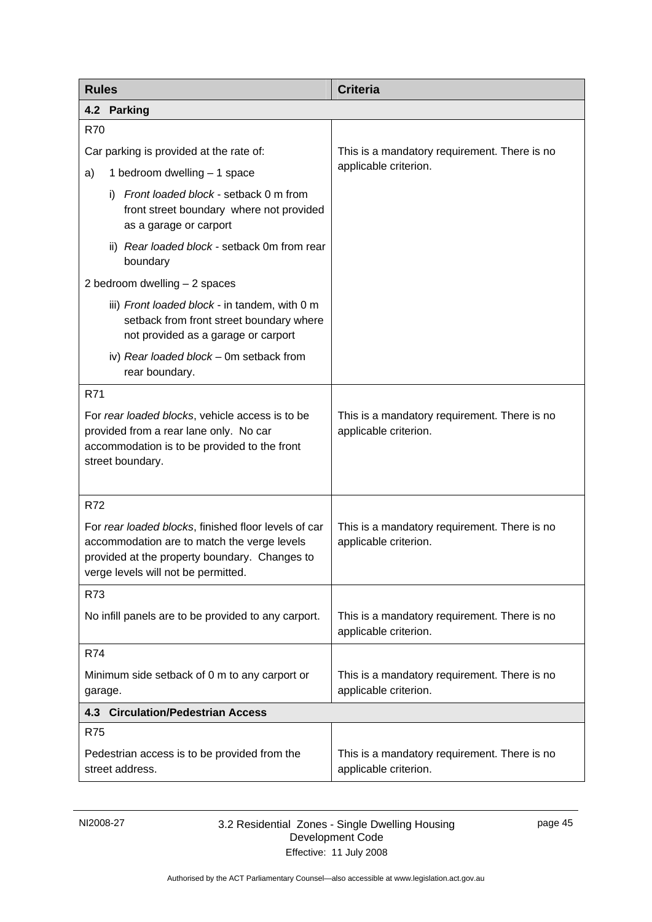<span id="page-48-0"></span>

| <b>Rules</b>                                                                                                                                                                                | <b>Criteria</b>                                                       |  |
|---------------------------------------------------------------------------------------------------------------------------------------------------------------------------------------------|-----------------------------------------------------------------------|--|
| 4.2 Parking                                                                                                                                                                                 |                                                                       |  |
| R70                                                                                                                                                                                         |                                                                       |  |
| Car parking is provided at the rate of:                                                                                                                                                     | This is a mandatory requirement. There is no                          |  |
| 1 bedroom dwelling - 1 space<br>a)                                                                                                                                                          | applicable criterion.                                                 |  |
| Front loaded block - setback 0 m from<br>i)<br>front street boundary where not provided<br>as a garage or carport                                                                           |                                                                       |  |
| ii) Rear loaded block - setback 0m from rear<br>boundary                                                                                                                                    |                                                                       |  |
| 2 bedroom dwelling - 2 spaces                                                                                                                                                               |                                                                       |  |
| iii) Front loaded block - in tandem, with 0 m<br>setback from front street boundary where<br>not provided as a garage or carport                                                            |                                                                       |  |
| iv) Rear loaded block - 0m setback from<br>rear boundary.                                                                                                                                   |                                                                       |  |
| R71                                                                                                                                                                                         |                                                                       |  |
| For rear loaded blocks, vehicle access is to be<br>provided from a rear lane only. No car<br>accommodation is to be provided to the front<br>street boundary.                               | This is a mandatory requirement. There is no<br>applicable criterion. |  |
| <b>R72</b>                                                                                                                                                                                  |                                                                       |  |
| For rear loaded blocks, finished floor levels of car<br>accommodation are to match the verge levels<br>provided at the property boundary. Changes to<br>verge levels will not be permitted. | This is a mandatory requirement. There is no<br>applicable criterion. |  |
| R73                                                                                                                                                                                         |                                                                       |  |
| No infill panels are to be provided to any carport.                                                                                                                                         | This is a mandatory requirement. There is no<br>applicable criterion. |  |
| R74                                                                                                                                                                                         |                                                                       |  |
| Minimum side setback of 0 m to any carport or<br>garage.                                                                                                                                    | This is a mandatory requirement. There is no<br>applicable criterion. |  |
| 4.3 Circulation/Pedestrian Access                                                                                                                                                           |                                                                       |  |
| <b>R75</b>                                                                                                                                                                                  |                                                                       |  |
| Pedestrian access is to be provided from the<br>street address.                                                                                                                             | This is a mandatory requirement. There is no<br>applicable criterion. |  |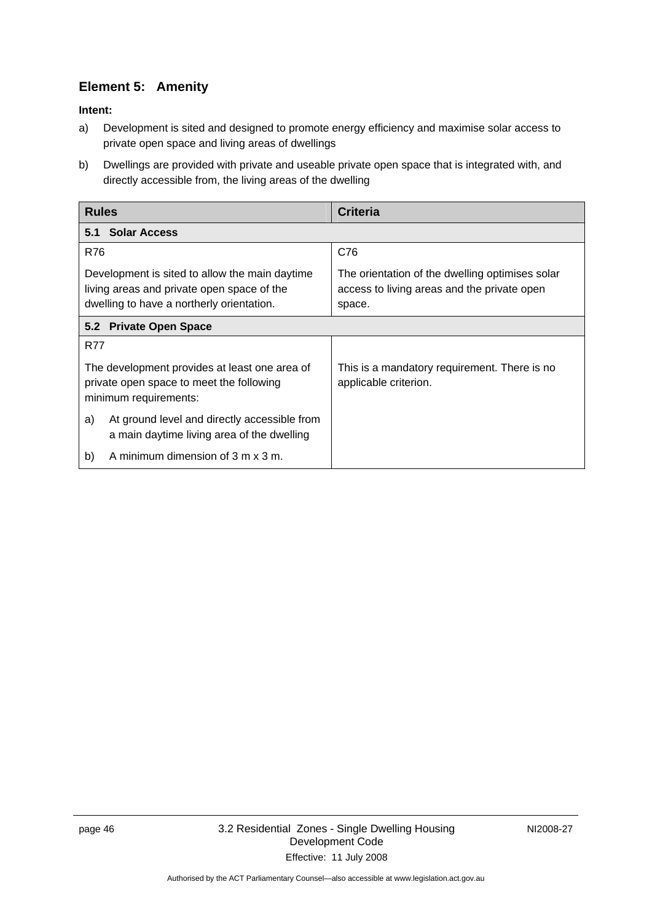# <span id="page-49-0"></span>**Element 5: Amenity**

- a) Development is sited and designed to promote energy efficiency and maximise solar access to private open space and living areas of dwellings
- b) Dwellings are provided with private and useable private open space that is integrated with, and directly accessible from, the living areas of the dwelling

| <b>Rules</b>                                                                                                                              | <b>Criteria</b>                                                                                          |  |
|-------------------------------------------------------------------------------------------------------------------------------------------|----------------------------------------------------------------------------------------------------------|--|
| <b>Solar Access</b><br>5.1                                                                                                                |                                                                                                          |  |
| R76                                                                                                                                       | C76                                                                                                      |  |
| Development is sited to allow the main daytime<br>living areas and private open space of the<br>dwelling to have a northerly orientation. | The orientation of the dwelling optimises solar<br>access to living areas and the private open<br>space. |  |
| 5.2 Private Open Space                                                                                                                    |                                                                                                          |  |
| R77                                                                                                                                       |                                                                                                          |  |
| The development provides at least one area of<br>private open space to meet the following<br>minimum requirements:                        | This is a mandatory requirement. There is no<br>applicable criterion.                                    |  |
| At ground level and directly accessible from<br>a)<br>a main daytime living area of the dwelling                                          |                                                                                                          |  |
| A minimum dimension of 3 m x 3 m.<br>b)                                                                                                   |                                                                                                          |  |